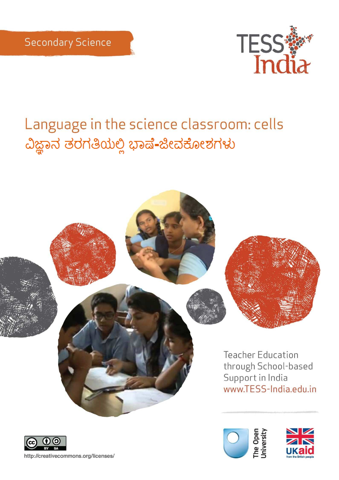

# Language in the science classroom: cells ವಿಜ್ಞಾನ ತರಗತಿಯಲ್ಲಿ ಭಾಷೆ-ಜೀವಕೋಶಗಳು



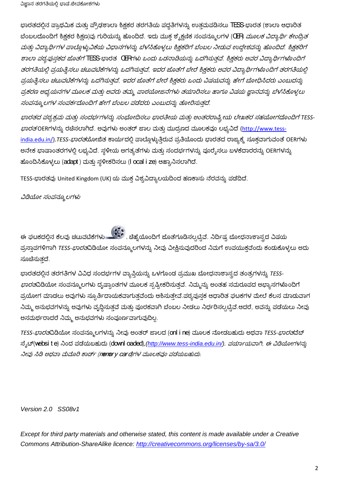ಭಾರತದಲ್ಲಿನ ಪ್ರಾಥಮಿಕ ಮತ್ತು ಪ್ರೌಢಶಾಲಾ ಶಿಕ್ಷಕರ ತರಗತಿಯ ಪದ್ಧತಿಗಳನ್ನು ಉತ್ತಮಪಡಿಸಲು T<del>ESS</del> ಭಾರತ (ಶಾಲಾ ಆಧಾರಿತ ಬೆಂಬಲದೊಂದಿಗೆ ಶಿಕ್ಷಕರ ಶಿಕ್ಷಣ)ವು ಗುರಿಯನ್ನು ಹೊಂದಿದೆ. ಇದು ಮುಕ್ತ ಶ್ಮೆಕ್ಷಣಿಕ ಸಂಪನ್ಮೂಲಗಳ (O<del>F</del>) *ಮೂಲಕ ವಿದ್ಯಾರ್ಥಿ ಕೇಂದ್ರಿತ* ಮತ್ತು ವಿದ್ಯಾರ್ಥಿಗಳ ಪಾಲ್ಗೊಳ್ಳುವಿಕೆಯ ವಿಧಾನಗಳನ್ನು ಬೆಳೆಸಿಕೊಳ್ಳಲು ಶ್ವಿಕ್ಷಕರಿಗೆ ಬೆಂಬಲ ನೀಡುವ ಉದ್ದೇಶವನ್ನು ಹೊಂದಿದೆ. ಶ್ವಿಕ್ಷಕರಿಗೆ ಶಾಲಾ ಪಠ್ಯಪುಸ್ತಕದ ಜೊತೆಗೆ TESS ಭಾರತ Œಾಗಳು ಒಂದು ಒಡನಾಡಿಯನ್ನು ಒದಗಿಸುತ್ತವೆ. ಶಿಕ್ಷಕರು ಅವರ ವಿದ್ಯಾರ್ಥಿಗಳೊಂದಿಗೆ ತರಗತಿಯಲ್ಲಿ ಪ್ರಯತ್ನಿಸಲು ಚಟುವಟಿಕೆಗಳನ್ನು ಒದಗಿಸುತ್ತವೆ, ಇದರ ಜೊತೆಗೆ ಬೇರೆ ಶಿಕ್ಷಕರು ಅವರ ವಿದ್ಯಾರ್ಥಿಗಳೊಂದಿಗೆ ತರಗತಿಯಲ್ಲಿ ಪ್ರಯತ್ನಿಸಲು ಚಟುವಟಿಕೆಗಳನ್ನು ಒದಗಿಸುತ್ತವೆ, ಇದರ ಜೊತೆಗೆ ಬೇರೆ ಶ್ರಿಕ್ಷಕರು ಒಂದು ವಿಷಯವನ್ನು ಹೇಗೆ ಬೋಧಿಸಿದರು ಎಂಬುದನ್ನು ಪ್ರಕರಣ ಅಧ್ಯಯನಗಳ ಮೂಲಕ ಮತ್ತು ಅವರು ತಮ್ಮ ಪಾಠಯೋಜನೆಗಳು ತಯಾರಿಸಲು ಹಾಗೂ ವಿಷಯ ಜ್ಞಾನವನ್ನು ಬೆಳಸಿಕೊಳ್ಳಲು ಸಂಪನ್ಮೂಲಗಳ ಸಂಪರ್ಕದೊಂದಿಗೆ ಹೇಗೆ ಬೆಂಬಲ ಪಡೆದರು ಎಂಬುದನ್ನು ತೋರಿಸುತ್ತದೆ.

ಭಾರತದ ಪಠ್ಯಕ್ರಮ ಮತ್ತು ಸಂದರ್ಭಗಳನ್ನು ಸಂಭೋದಿಸಲು ಭಾರತೀಯ ಮತ್ತು ಅಂತರರಾಷ್ಟ್ರೀಯ ಲೇಖಕರ ಸಹಯೋಗದೊಂದಿಗೆ TESS-*ಭಾರತ* OERಗಳನ್ನು ರಚಿಸಲಾಗಿದೆ. ಅವುಗಳು ಅಂತರ್ ಜಾಲ ಮತ್ತು ಮುದ್ರಣದ ಮೂಲಕವೂ ಲಭ್ಯವಿದೆ (http://www.tessindia.edu.in/).TESS-*ಭಾರತ*ಯೋಜಿತ ಕಾರ್ಯದಲ್ಲಿ ಪಾಲ್ಗೊಳ್ಳುತ್ತಿರುವ ಪ್ರತಿಯೊಂದು ಭಾರತದ ರಾಜ್ಯಕ್ಕೆ ಸೂಕ್ತವಾಗುವಂತೆ OERಗಳು ಅನೇಕ ಭಾಷಾಂತರಗಳಲ್ಲಿ ಲಭ್ಯವಿದೆ. ಸ್ಥಳೀಯ ಅಗತ್ಯತೆಗಳು ಮತ್ತು ಸಂದರ್ಭಗಳನ್ನು ಪೂರೈಸಲು ಬಳಕೆದಾರರನ್ನು OERಗಳನ್ನು ಹೊಂದಿಸಿಕೊಳ್ಳಲು (adapt) ಮತ್ತು ಸ್ಥಳೀಕರಿಸಲು (I ocal i ze) ಆಹ್ವಾನಿಸಲಾಗಿದೆ.

TESS-ಭಾರತವು United Kingdom (UK) ಯ ಮುಕ್ತ ವಿಶ್ವವಿದ್ಯಾಲಯದಿಂದ ಹಣಕಾಸು ನೆರವನ್ನು ಪಡೆದಿದೆ.

ವಿಡಿಯೋ ಸಂಪನ್ಮೂಲಗಳು

ಈ ಘಟಕದಲ್ಲಿನ ಕೆಲವು ಚಟುವಟಿಕೆಗಳು ನಾವಿತ್ತು. ಚಿಹ್ನೆಯೊಂದಿಗೆ ಜೊತೆಗೂಡಿಸಲ್ಪಟ್ಟಿವೆ. ನಿರ್ದಿಷ್ಟ ಬೋಧನಾಶಾಸ್ತ್ರದ ವಿಷಯ ಪ್ರಸ್ತಾಪಗಳಿಗಾಗಿ TESS-*ಭಾರತ*ವಿಡಿಯೋ ಸಂಪನ್ಮೂಲಗಳನ್ನು ನೀವು ವೀಕ್ಷಿಸುವುದರಿಂದ ನಿಮಗೆ ಉಪಯುಕ್ತವೆಂದು ಕಂಡುಕೊಳ್ಳಲು ಅದು ಸೂಚಿಸುತದೆ.

ಭಾರತದಲ್ಲಿನ ತರಗತಿಗಳ ವಿವಿಧ ಸಂದರ್ಭಗಳ ವ್ಯಾಪ್ತಿಯನ್ನು ಒಳಗೊಂಡ ಪ್ರಮುಖ ಬೋಧನಾಶಾಸ್ತ್ರದ ತಂತ್ರಗಳನ್ನು TESS-*ಭಾರತ*ವಿಡಿಯೋ ಸಂಪನ್ಮೂಲಗಳು ದೃಷ್ಟಾಂತಗಳ ಮೂಲಕ ಸ್ಪಷ್ಟೀಕರಿಸುತ್ತವೆ. ನಿಮ್ಮನ್ನು ಅಂತಹ ಸಮರೂಪದ ಅಭ್ಯಾಸಗಳೊಂದಿಗೆ ಪ್ರಯೋಗ ಮಾಡಲು ಅವುಗಳು ಸ್ಪೂರ್ತಿದಾಯಕವಾಗುತ್ತವೆಂದು ಆಶಿಸುತ್ತೇವೆ.ಪಠ್ಯಪುಸ್ತಕ ಆಧಾರಿತ ಘಟಕಗಳ ಮೇಲೆ ಕೆಲಸ ಮಾಡುವಾಗ ನಿಮ್ಮ ಅನುಭವಗಳನ್ನು ಅವುಗಳು ವೃದ್ಧಿಸುತ್ತವೆ ಮತ್ತು ಪೂರಕವಾಗಿ ಬೆಂಬಲ ನೀಡಲು ನಿರ್ಧರಿಸಲ್ಪಟ್ಟಿವೆ.ಆದರೆ, ಅವನ್ನು ಪಡೆಯಲು ನೀವು ಅಸಮರ್ಥರಾದರೆ ನಿಮ್ಮ ಅನುಭವಗಳು ಸಂಪೂರ್ಣವಾಗುವುದಿಲ್ಲ.

TESS-*ಭಾರತ*ವಿಡಿಯೋ ಸಂಪನ್ಮೂಲಗಳನ್ನು ನೀವು ಅಂತರ್ ಜಾಲದ (onl i ne) ಮೂಲಕ ನೋಡಬಹುದು ಅಥವಾ TESS-*ಭಾರತ*ವೆಬ್ ್ಸೈಟ್(**vebsi t e**) ನಿಂದ ಪಡೆಯಬಹುದು (**downl oaded**), <u>(http://www.tess-india.edu.in/</u>). *ಪರ್ಯಾಯವಾಗಿ, ಈ ವಿಡಿಯೋಗಳನ್ನು* ನೀವು ಸಿಡಿ ಅಥವಾ ಮೆಮೊರಿ ಕಾರ್ಡ್ (nenory card)ಗಳ ಮೂಲಕವೂ ಪಡೆಯಬಹುದು.

Version 2.0 SS08v1

Except for third party materials and otherwise stated, this content is made available under a Creative Commons Attribution-ShareAlike licence: http://creativecommons.org/licenses/by-sa/3.0/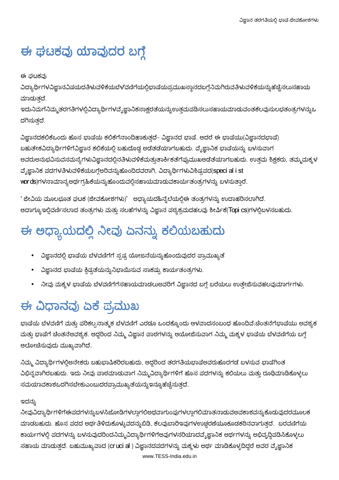## ಈ ಘಟಕವು ಯಾವುದರ ಬಗ್ಗೆ

ಈ ಘಟಕವು

ವಿದ್ಯಾರ್ಥಿಗಳವಿಜ್ಞಾನವಿಷಯದತಿಳುವಳಿಕೆಯಬೆಳೆವಣಿಗೆಯಲ್ಲಿಭಾಷೆಯಪ್ರಮುಖಸ್ಥಾನದಬಗ್ಗೆನಿಮಗಿರುವತಿಳುವಳಿಕೆಯನ್ನುಹೆಚ್ಚಿಸಲುಸಹಾಯ ಮಾಡುತ್ತದೆ.

ಇದುನಿಮಗೆನಿಮ್ಮತರಗತಿಗಳಲ್ಲಿವಿದ್ಯಾರ್ಥಿಗಳವ್ಯೆಜ್ಞಾನಿಕಸಾಕ್ಷರತೆಯನ್ನುಉತ್ತಮಪಡಿಸಲುಸಹಾಯಮಾಡುವಂತಕೆಲವುಸುಲಭತಂತ್ರಗಳನ್ನುಒ ದಗಿಸುತ್ತದೆ.

ವಿಜ್ಞಾನದಕಲಿಕೆಒಂದು ಹೊಸ ಭಾಷೆಯ ಕಲಿಕೆಗೆನಾಂದಿಹಾಕುತ್ತದೆ- ವಿಜ್ಞಾನದ ಭಾಷೆ. ಆದರೆ ಈ ಭಾಷೆಯು(ವಿಜ್ಞಾನದಭಾಷೆ) ಬಹುತೇಕವಿದ್ಯಾರ್ಥಿಗಳಿಗೆವಿಜ್ಞಾನ ಕಲಿಕೆಯಲ್ಲಿ ಬಹುದೊಡ್ಡ ಅಡೆತಡೆಯಾಗಬಹುದು. ವೈಜ್ಞಾನಿಕ ಭಾಷೆಯನ್ನು ಬಳಸುವಾಗ ಅವರುಅನುಭವಿಸುವಸಮಸ್ಯೆಗಳುವಿಜ್ಞಾನದಲ್ಲಿನತಿಳುವಳಿಕೆಮತ್ತುತಾರ್ಕಿಕತೆಗೆಪ್ರುಮುಖಅಡೆತೆಯಾಗಬಹುದು. ಉತ್ತಮ ಶಿಕ್ಷಕರು, ತಮ್ಮಮಕ್ಕಳ ವ್ಯಜ್ಞಾನಿಕ ಪದಗಳತಿಳುವಳಿಕೆಯಬಗ್ಗೆಅರಿವನ್ನುಹೊಂದಿದವರಾಗಿ, ವಿದ್ಯಾರ್ಥಿಗಳುವಿಶಿಷ್ರಪದ(speci al i st words)ಗಳಸಾಮಾನ್ಯಅರ್ಥಗ್ರಹಿಕೆಯನ್ನುಹೊಂದುವಲ್ಲಿಸಹಾಯಮಾಡುವಕಾರ್ಯತಂತ್ರಗಳನ್ನು ಬಳಸುತ್ತಾರೆ.

' ಜೀವಿಯ ಮೂಲಭೂತ ಘಟಕ (ಜೀವಕೋಶಗಳು)' ಅಧ್ಯಾಯದಹಿನ್ನೆಲೆಯಲ್ಲಿಈ ತಂತ್ರಗಳನ್ನು ಉದಾಹರಿಸಲಾಗಿದೆ. ಆದಾಗ್ಯೂಇಲ್ಲಿದರ್ಣಿಸಲಾದ ತಂತ್ರಗಳು ಮತ್ತು ಸಲಹೆಗಳನ್ನು ವಿಜ್ಞಾನ ಪಠ್ಯಕ್ರಮದಹಲವು ಶೀರ್ಷಿಕೆ(Topi cs)ಗಳಲ್ಲಿಬಳಸಬಹುದು.

# ಈ ಅಧ್ಯಾಯದಲ್ಲಿ ನೀವು ಏನನ್ನು ಕಲಿಯಬಹುದು

- ್ದುಜ್ಞಾನದಲ್ಲಿ ಭಾಷೆಯ ಬೆಳವಣಿಗೆಗೆ ಸ್ಪಷ್ರ ಯೋಜನೆಯನ್ನುಹೊಂದುವುದರ ಪ್ರಾಮುಖ್ಯತೆ
- ್ಲಿಜ್ಞಾನದ ಭಾಷೆಯ ಕ್ಲಿಷ್ಟತೆಯನ್ನುನಿಭಾಯಿಸುವ ಸಾಕಷ್ಟು ಕಾರ್ಯತಂತ್ರಗಳು.
- ನೀವು ಮಕ್ಕಳ ಭಾಷೆಯ ಬೆಳವಣಿಗೆಗೆಸಹಾಯಮಾಡಲುಅವರಿಗೆ ವಿಜ್ಞಾನದ ಬಗ್ಗೆ ಬರೆಯಲು ಉತ್ತೇಜಿಸುವಹಲವುಮಾರ್ಗಗಳು.

## ಈ ವಿಧಾನವು ಏಕೆ ಪ್ರಮುಖ

ಭಾಷೆಯ ಬೆಳವಣಿಗೆ ಮತ್ತು ಪರಿಕಲ್ಪನಾತ್ಮ್ರಕ ಬೆಳವಣಿಗೆ ಎರಡೂ ಒಂದಕ್ಕೊಂದು ಆಳವಾದಸಂಬಂಧ ಹೊಂದಿವೆ.ಚಿಂತನೆಗೆಭಾಷೆಯು ಅವಶ್ಯಕ ಮತ್ತು ಭಾಷೆಗೆ ಚಿಂತನೆಅವಶ್ಯಕ. ಆದ್ದರಿಂದ ನಿಮ್ಮ ವಿಜ್ಞಾನ ಪಾಠಗಳನ್ನು ಆಯೋಜಿಸುವಾಗ ನಿಮ್ಮ ಮಕ್ಕಳ ಭಾಷೆಯ ಬೆಳವಣಿಗೆಯ ಬಗ್ಗೆ ಆಲೋಚಿಸುವುದು ಮುಖ್ಯವಾಗಿದೆ.

ನಿಮ್ಮ ವಿದ್ಯಾರ್ಥಿಗಳಲ್ಲಿಅನೇಕರು ಬಹುಭಾಷಿಕರಿರಬಹುದು, ಆದ್ದರಿಂದ ತರಗತಿಯಭಾಷೆಅವರುಹೊರಗಡೆ ಬಳಸುವ ಭಾಷೆಗಿಂತ ವಿಭಿನ್ನವಾಗಿರಬಹುದು. ಇದು ನೀವು ಪಾಠಮಾಡುವಾಗ ನಿಮ್ಮವಿದ್ಯಾರ್ಥಿಗಳಿಗೆ ಹೊಸ ಪದಗಳನ್ನು ಕಲಿಯಲು ಮತ್ತು ರೂಢಿಮಾಡಿಕೊಳ್ಳಲು ಸಮಯಾವಕಾಶಒದಗಿಸಬೇಕುಎಂಬುದರಪ್ರಾಮುಖ್ಯತೆಯನ್ನು ಇನ್ನೂ ಹೆಚ್ಚಿಸುತ್ತದೆ.

#### ಇದನ್ನು

ನೀವುವಿದ್ಯಾರ್ಥಿಗಳಿಗೆಈಪದಗಳನ್ನುಬಳಸಿಜೋಡಿಗಳಲ್ಲಾಗಲಿಅಥವಾಗುಂಪುಗಳಲ್ಲಾಗಲಿಮಾತನಾಡುವಅವಕಾಶವನ್ನುಕೊಡುವುದರಮೂಲಕ ಮಾಡಬಹುದು. ಹೊಸ ಪದದ ಅರ್ಥತಿಳಿದುಕೊಳ್ಳುವದನ್ನುಬಿಡಿ, ಕೆಲವುಬಾರಿಇವುಗಳಉಚ್ಚರಣೆಯೂಕೂಡಕಠಿನವಾಗುತ್ತದೆ. ಬರವಣಿಗೆಯ ಕಾರ್ಯಗಳಲ್ಲಿ ಪದಗಳನ್ನು ಬಳಸುವುದರಿಂದನಿಮ್ಮವಿದ್ಯಾರ್ಥಿಗಳಿಗೆಅವುಗಳಸರಿಯಾದವ್ಯೆಜ್ಞಾನಿಕ ಅರ್ಥಗಳನ್ನು ಅಭಿವೃದ್ಧಿಪಡಿಸಿಕೊಳ್ಳಲು ಸಹಾಯ ಮಾಡುತ್ತದೆ. ಬಹುಮುಖ್ಯವಾದ (cruci al ) ವಿಜ್ಞಾನದಪದಗಳನ್ನು ಮಕ್ಕಳು ಅರ್ಥ ಮಾಡಿಕೊಳ್ಳದಿದ್ದರೆ ಅವರ ವ್ಯೆಜ್ಞಾನಿಕ www.TESS-India.edu.in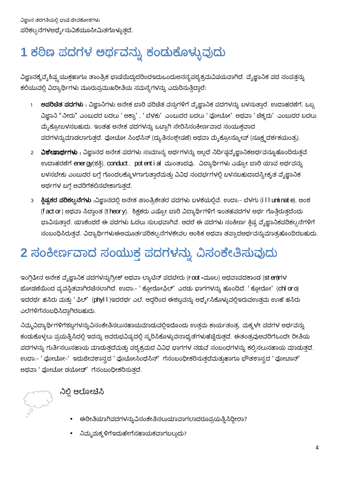## 1 ಕಠಿಣ ಪದಗಳ ಅರ್ಥವನ್ನು ಕಂಡುಕೊಳ್ಳುವುದು

ವಿಜ್ಞಾನಕ್ಕೆವ್ಶೆ ಶಿಷ್ಟ್ಯಯುಕ್ತಹಾಗೂ ತಾಂತ್ರಿಕ ಭಾಷೆಯಿದ್ದುದರಿಂದಇದುಒಂದುಅನನ್ಯಪಠ್ಯಕ್ರಮವಿಷಯವಾಗಿದೆ. ವ್ಶೆಜ್ಞಾನಿಕ ಪದ ಸಂಪತ್ತನ್ನು ಕಲಿಯುವಲ್ಲಿ ವಿದ್ಯಾರ್ಥಿಗಳು ಮೂರುಪ್ರಮುಖರೀತಿಯ ಸಮಸ್ಯೆಗಳನ್ನು ಎದುರಿಸುತ್ತಿದ್ದಾರೆ:

- **. ಅಪರಿಚಿತ ಪದಗಳು** : ವಿಜ್ಞಾನಿಗಳು ಅನೇಕ ಬಾರಿ ಪರಿಚಿತ ವಸ್ತುಗಳಿಗೆ ವೈಜ್ಞಾನಿಕ ಪದಗಳನ್ನು ಬಳಸುತ್ತಾರೆ. ಉದಾಹರಣೆಗೆ, ಒಬ್ಬ  $\mathbf{1}$ ವಿಜ್ಞಾನಿ "ನೀರು" ಎಂಬುದರ ಬದಲು ' ಅಕ್ವಾ', ' ಬೆಳಕು' ಎಂಬುದರ ಬದಲು ' ಫೋಟೋ' ಅಥವಾ ' ಚಿಕ್ಕದು' ಎಂಬುದರ ಬದಲು ಮೈಕ್ರೋಬಳಸಬಹುದು. ಇಂತಹ ಅನೇಕ ಪದಗಳನ್ನು ಒಟ್ಟಾಗಿ ಸೇರಿಸಿಸಂಕೀರ್ಣವಾದ ಸಂಯುಕ್ತವಾದ ಪದಗಳನ್ನುಮಾಡಲಾಗುತ್ತದೆ. ಫೋಟೋ ಸಿಂಥೆಸಿಸ್ (ದ್ಯುತಿಸಂಶ್ಲೇಷಣೆ) ಅಥವಾ ಮೈಕ್ರೋಸ್ಕೋಪ್ (ಸೂಕ್ಷ್ಮದರ್ಶಕಯಂತ್ರ).
- 2 **ವಿಶೇಷಾರ್ಥಗಳು**: ವಿಜ್ಞಾನದ ಅನೇಕ ಪದಗಳು ಸಾಮಾನ್ಯ ಅರ್ಥಗಳನ್ನು ಅಲ್ಲದೆ ನಿರ್ದಿಷ್ಠವ್ಯೆಜ್ಞಾನಿಕಅರ್ಥವನ್ನೂಹೊಂದಿರುತ್ತವೆ. ಉದಾಹರಣೆಗೆ energy(ಶಕ್ತಿ), conduct , pot ent i al ಮುಂತಾದವು. ವಿದ್ಯಾರ್ಥಿಗಳು ಎಷ್ಟೋ ಬಾರಿ ಯಾವ ಅರ್ಥವನ್ನು ಬಳಸಬೇಕು ಎಂಬುದರ ಬಗ್ಗೆ ಗೊಂದಲಕ್ಕೊಳಗಾಗುತ್ತಾರೆಮತ್ತು ವಿವಿಧ ಸಂದರ್ಭಗಳಲ್ಲಿ ಬಳಸಬಹುದಾದಸ್ಯೀಕೃತ ವೈಜ್ಞಾನಿಕ ಅರ್ಥಗಳ ಬಗ್ಗೆ ಅವರಿಗೆಕಲಿಸಬೇಕಾಗುತ್ತದೆ.
- 3 ಕ್ಲಿಷ್ಟಕರ ಪರಿಕಲ್ಪನೆಗಳು :ವಿಜ್ಞಾನದಲ್ಲಿ ಅನೇಕ ತಾಂತ್ರಿಕೇತರ ಪದಗಳು ಬಳಕೆಯಲ್ಲಿವೆ. ಉದಾ:- ಬೆಳಗು (illuminate), ಅಂಶ (fact or) ಅಥವಾ ಸಿದ್ಧಾಂತ (t heory). ಶಿಕ್ಷಕರು ಎಷ್ಟೋ ಬಾರಿ ವಿದ್ಯಾರ್ಥಿಗಳಿಗೆ ಇಂತಹಪದಗಳ ಅರ್ಥ ಗೊತ್ತಿರುತ್ತದೆಂದು ಭಾವಿಸುತ್ತಾರೆ. ಯಾಕೆಂದರೆ ಈ ಪದಗಳು ಓದಲು ಸುಲಭವಾಗಿವೆ. ಆದರೆ ಈ ಪದಗಳು ಸಂಕೀರ್ಣ ಕ್ಲಿಷ್ಟ ವ್ಯೆಜ್ಞಾನಿಕಪರಿಕಲ್ಪನೆಗಳಿಗೆ ಸಂಬಂಧಿಸಿರುತ್ತವೆ. ವಿದ್ಯಾರ್ಥಿಗಳುಈಅಮೂರ್ತಪರಿಕಲ್ಪನೆಗಳಕೇದಲ ಆಂಶಿಕ ಅಥವಾ ತಪ್ಪಾದಅರ್ಥವನ್ನುಮಾತ್ರಹೊಂದಿರಬಹುದು.

## 2 ಸಂಕೀರ್ಣವಾದ ಸಂಯುಕ್ತ ಪದಗಳನ್ನು ವಿಸಂಕೇತಿಸುವುದು

ಇಂಗ್ಲಿಷೀನ ಅನೇಕ ವೈಜ್ಞಾನಿಕ ಪದಗಳನ್ನುಗ್ರೀಕ್ ಅಥವಾ ಲ್ಯಾಟಿನ್ ಪದಬೇರು (root =ಮೂಲ) ಅಥವಾಪದಕಾಂಡ (st emr)ಳ ಜೋಡಣೆಯಿಂದ ವ್ಯವಸ್ಥಿತವಾಗಿರಚಿಸಲಾಗಿದೆ. ಉದಾ:- ' ಕ್ಲೋರೋಫಿಲ್' ಎರಡು ಭಾಗಗಳನ್ನು ಹೊಂದಿದೆ. ' ಕ್ಲೋರೋ' (chl or o) ಇದರರ್ಥ ಹಸಿರು ಮತ್ತು ' ಫಿಲ್' (phyl l )ಇದರರ್ಥ ಎಲೆ. ಆದ್ದರಿಂದ ಈಶಬ್ದವನ್ನು ಅರ್ಥೈಸಿಕೊಳ್ಳುವಲ್ಲಿಇರುವಉತ್ತಮ ಉಾಹೆ ಹಸಿರು ಎಲೆಗಳಿಗೆಸಂಬಧಿಸಿದ್ದಾಗಿರಬಹುದು.

ನಿಮ್ಮವಿದ್ಯಾರ್ಥಿಗಳಿಗೆಶಬ್ದಗಳನ್ನುವಿಸಂಕೇತಿಸಲುಸಹಾಯಮಾಡುವಲ್ಲಿಇದೊಂದು ಉತ್ತಮ ಕಾರ್ಯತಂತ್ರ. ಮಕ್ಕಳೇ ಪದಗಳ ಅರ್ಥವನ್ನು ಕಂಡುಕೊಳ್ಳಲು ಪ್ರಯತ್ನಿಸಿದಲ್ಲಿ ಇದನ್ನು ಅವರುಭವಿಷ್ಯದಲ್ಲಿ ಸ್ಮರಿಸಿಕೊಳ್ಳುವಸಾಧ್ಯತೆಗಳುಹೆಚ್ಚಿರುತ್ತದೆ. ಈತಂತ್ರವುಅವರಿಗೆಒಂದೇ ರೀತಿಯ ಪದಗಳನ್ನು ಗುರ್ತಿಸಲುಸಹಾಯ ಮಾಡುತ್ತದೆಮತ್ತು ಪಠ್ಯಕ್ರಮದ ವಿವಿಧ ಭಾಗಗಳ ನಡುವೆ ಸಂಬಂಧಗಳನ್ನು ಕಲ್ಪಿಸಲುಸಹಾಯ ಮಾಡುತ್ತದೆ. ಉದಾ:- 'ಫೋಟೋ-' ಇದುಜೀವಶಾಸ್ಸ್ರದ 'ಫೊಟೋಸಿಂಥೆಸಿಸ್' ಗೆಸಂಬಂಧೀಕರಿಸುತ್ತದೆಮತ್ತುಹಾಗೂ ಭೌತಶಾಸ್ಸ್ರದ 'ಫೋಟಾನ್' ಅಥವಾ 'ಫೋಟೋ ಡಯೋಡ್' ಗೆಸಂಬಂಧೀಕರಿಸುತ್ತದೆ.

್ಸ್ರ್ಸ್ನ ನಿಲ್ಲಿ ಆಲೋಚಿಸಿ<br>ಮಾರ್

- ಈರೀತಿಯಾಗಿಪದಗಳನ್ನುವಿಸಂಕೇತಿಸಲುಯಾವಾಗಲಾದರೂಪ್ರಯತ್ನಿಸಿದ್ದೀರಾ?
- ನಿಮ್ಮದುಕ್ಕಳಿಗೆಇದುಹೇಗೆಸಹಾಯಕವಾಗಬಲ್ಲುದು?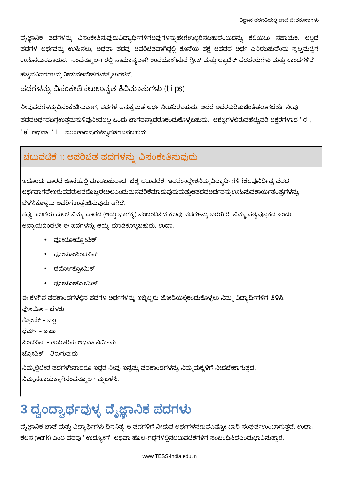ವೈಜ್ಞಾನಿಕ ಪದಗಳನ್ನು ವಿಸಂಕೇತಿಸುವುದುವಿದ್ಯಾರ್ಥಿಗಳಿಗೆಅವುಗಳನ್ನುಹೇಗೆಉಚ್ಚರಿಸಬಹುದೆಂಬುದನ್ನು ಕಲಿಯಲು ಸಹಾಯಕ. ಅಲ್ಲದೆ ಪದಗಳ ಅರ್ಥವನ್ನು ಉಹಿಸಲು, ಅಥವಾ ಪದವು ಅಪರಿಚಿತವಾಗಿದ್ದಲ್ಲಿ ಕೊನೆಯ ಪಕ್ಷ ಆಪದದ ಅರ್ಥ ಏನಿರಬಹುದೆಂದು ಸ್ವಲ್ಪಮಟ್ಟಿಗೆ ಉಹಿಸಲುಸಹಾಯಕ. ಸಂಪನ್ಮೂಲ-1 ರಲ್ಲಿ ಸಾಮಾನ್ಯವಾಗಿ ಉಪಯೋಗಿಸುವ ಗ್ರೀಕ್ ಮತ್ತು ಲ್ಯಾಟಿನ್ ಪದಬೇರುಗಳು ಮತ್ತು ಕಾಂಡಗಳಿವೆ ಹೆಚ್ಚಿನವಿವರಗಳನ್ನುನೀಡುವಅನೇಕವೆಬ್ಸ್ಕ್ರಟುಗಳಿವೆ.

#### ಪದಗಳನ್ನು ವಿಸಂಕೇತಿಸಲುಉನ್ನತ ಕಿವಿಮಾತುಗಳು (tips)

ನೀವುಪದಗಳನ್ನುವಿಸಂಕೇತಿಸುವಾಗ, ಪದಗಳ ಅನುಕ್ರಮತೆ ಅರ್ಥ ನೀಡದಿರಬಹುದು, ಆದರೆ ಅದರಕುರಿತುಚಿಂತಿತರಾಗಬೇಡಿ. ನೀವು ಪದದಅರ್ಥದಬಗ್ಗೆಉತ್ತಮಸುಳಿವುನೀಡಬಲ್ಲ ಒಂದು ಭಾಗವನ್ನಾದರೂಕಂಡುಕೊಳ್ಳಬಹುದು. ಆಶಬ್ದಗಳಲ್ಲಿರುವಹೆಚ್ಚುವರಿ ಅಕ್ಷರಗಳಾದ 'o', 'a' ಅಥವಾ 'l' ಮುಂತಾದವುಗಳನ್ನುಕಡೆಗಣಿಸಬಹುದು.

#### ಚಟುವಟಿಕೆ 1: ಅಪರಿಚಿತ ಪದಗಳನ್ನು ವಿಸಂಕೇತಿಸುವುದು

ಇದೊಂದು ಪಾಠದ ಕೊನೆಯಲ್ಲಿ ಮಾಡಬಹುದಾದ ಚಿಕ್ಕ ಚಟುವಟಿಕೆ. ಇದರಉದ್ದೇಶನಿಮ್ಮವಿದ್ಯಾರ್ಥಿಗಳಿಗೆಕೆಲವುನಿರ್ದಿಷ್ಟ ಪದದ ಅರ್ಥವಾಗದೇಇರುವವರುಅವರೊಬ್ಬರೇಅಲ್ಲಎಂದುಮನವರಿಕೆಮಾಡುವುದುಮತ್ತುಆಪದದಅರ್ಥವನ್ನುಉುಹಿಸುವಕಾರ್ಯತಂತ್ರಗಳನ್ನು ಬೆಳೆಸಿಕೊಳ್ಳಲು ಅವರಿಗೆಉತೇಜಿಸುವುದು ಆಗಿದೆ.

ಕಪ್ಪು ಹಲಗೆಯ ಮೇಲೆ ನಿಮ್ಮ ಪಾಠದ (ಆಯ್ದ ಭಾಗಕ್ಕೆ) ಸಂಬಂಧಿಸಿದ ಕೆಲವು ಪದಗಳನ್ನು ಬರೆಯಿರಿ. ನಿಮ್ಮ ಪಠ್ಯಪುಸ್ತಕದ ಒಂದು ಅಧ್ಯಾಯದಿಂದಲೇ ಈ ಪದಗಳನ್ನು ಆಯ್ಕೆ ಮಾಡಿಕೊಳ್ಳಬಹುದು. ಉದಾ:

- ಫೋಟೋಟ್ರೋಪಿಕ್
- ಫೋಟೋಸಿಂಥೆಸಿಸ್
- ಥರ್ಮೋಕ್ರೋಮಿಕ್
- ಫೋಟೋಕ್ರೋಮಿಕ್

ಈ ಕೆಳಗಿನ ಪದಕಾಂಡಗಳಲ್ಲಿನ ಪದಗಳ ಅರ್ಥಗಳನ್ನು ಇಬ್ಬಿಬ್ಬರು ಜೋಡಿಯಲ್ಲಿಕಂಡುಕೊಳ್ಳಲು ನಿಮ್ಮ ವಿದ್ಯಾರ್ಥಿಗಳಿಗೆ ತಿಳಿಸಿ.

ಫೋಟೋ – ಬೆಳಕು ಕ್ರೋಮ್ – ಬಣ್ಣ ಥರ್ಮ್ - ಶಾಖ ಸಿಂಥೆಸಿಸ್ – ತಯಾರಿಸು ಅಥವಾ ನಿರ್ಮಿಸು ಟ್ರೋಪಿಕ್ - ತಿರುಗುವುದು ನಿಮ್ಮಲ್ಲಿಬೇರೆ ಪದಗಳೇನಾದರೂ ಇದ್ದರೆ ನೀವು ಇನ್ನಷ್ಟು ಪದಕಾಂಡಗಳನ್ನು ನಿಮ್ಮಮಕ್ಕಳಿಗೆ ನೀಡಬೇಕಾಗುತ್ತದೆ. ನಿಮ್ಮಸಹಾಯಕ್ಕಾಗಿಸಂಪನ್ಮೂಲ 1 ನ್ನುಬಳಸಿ.

## 3 ದ್ವಂದ್ವಾರ್ಥವುಳ್ಳ ವೈಜ್ಞಾನಿಕ ಪದಗಳು

ವೈಜ್ಞಾನಿಕ ಭಾಷೆ ಮತ್ತು ವಿದ್ಯಾರ್ಥಿಗಳು ದಿನನಿತ್ಯ ಆ ಪದಗಳಿಗೆ ನೀಡುವ ಅರ್ಥಗಳನಡುವೆಎಷ್ಸೋ ಬಾರಿ ಸಂಘರ್ಷಉಂಟಾಗುತ್ತದೆ. ಉದಾ: ಕೆಲಸ (work) ಎಂಬ ಪದವು ' ಉದ್ಯೋಗ' ಅಥವಾ ಹೊಲ-ಗದ್ದೆಗಳಲ್ಲಿನಚಟುವಟಿಕೆಗಳಿಗೆ ಸಂಬಂಧಿಸಿದೆಎಂದುಭಾವಿಸುತ್ತಾರೆ.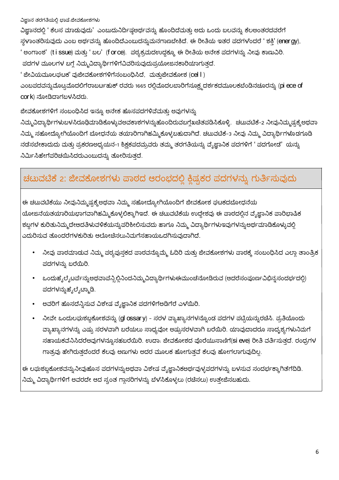ವಿಜ್ಞಾನದಲ್ಲಿ ' ಕೆಲಸ ಮಾಡುವುದು' ಎಂಬುದುನಿರ್ದಿಷ್ಠಅರ್ಥವನ್ನು ಹೊಂದಿದೆಮತ್ತು ಅದು ಒಂದು ಬಲವನ್ನು ಕೆಲಅಂತರದವರೆಗೆ ಸ್ಥಳಾಂತರಿಸುವುದು ಎಂಬ ಅರ್ಥವನ್ನು ಹೊಂದಿದೆಎಂಬುದನ್ನುಮನಗಾಣಬೇಕಿದೆ. ಈ ರೀತಿಯ ಇತರ ಪದಗಳೆಂದರೆ ' ಶಕ್ತಿ' (energy), ' ಅಂಗಾಂಶ' (t i ssue) ಮತ್ತು ' ಬಲ' (f or ce). ಪಠ್ಯಕ್ರಮದಉದ್ದಕ್ಕೂ ಈ ರೀತಿಯ ಅನೇಕ ಪದಗಳನ್ನು ನೀವು ಕಾಣುವಿರಿ. ಪದಗಳ ಮೂಲಗಳ ಬಗ್ಗೆ ನಿಮ್ಮವಿದ್ಯಾರ್ಥಿಗಳಿಗೆವಿವರಿಸುವುದುಪ್ರಯೋಜನಕಾರಿಯಾಗುತ್ತದೆ.

' ಜೀವಿಯಮೂಲಘಟಕ' ವುಜೀವಕೋಶಗಳಿಗೆಸಂಬಂಧಿಸಿದೆ, ಮತ್ತುಜೀವಕೋಶ (**cel l** )

ಎಂಬಪದವನ್ನುಮೊಟ್ಟಮೊದಲಿಗೆರಾಬರ್ಟಹುಕ್ ರವರು 1665 ರಲ್ಲಿಮೊದಲಬಾರಿಗೆಸೂಕ್ಷ್ಮದರ್ಶಕದಮೂಲಕಬೆಂಡಿನಚೂರನ್ನು (pi ece of cork) ನೋಡಿದಾಗಬಳಸಿದರು.

ಜೀವಕೋಶಗಳಿಗೆ ಸಂಬಂಧಿಸಿದ ಇನ್ನೂ ಅನೇಕ ಹೊಸಪದಗಳಿವೆಮತ್ತು ಅವುಗಳನ್ನು

ನಿಮ್ಮವಿದ್ಯಾರ್ಥಿಗಳುಬಳಸಿರೂಢಿಮಾಡಿಕೊಳ್ಳುವಅವಕಾಶಗಳನ್ನುಹೊಂದಿರುವಬಗ್ಗೆಖಚಿತಪಡಿಸಿಕೊಳ್ಳಿ. ಚಟುವಟಿಕೆ–2 ನೀವುನಿಮ್ಮಷ್ರಕ್ಕೆಅಥವಾ ನಿಮ್ಮ ಸಹೋದ್ಯೋಗಿಯೊಂದಿಗೆ ಬೋಧನೆಯ ತಯಾರಿಗಾಗಿಹಮ್ಮಿಕೊಳ್ಳಬಹುದಾಗಿದೆ. ಚಟುವಟಿಕೆ–3 ನೀವು ನಿಮ್ಮ ವಿದ್ಯಾರ್ಥಿಗಳೊಡಗೂಡಿ ನಡೆಸಬೇಕಾದುದು ಮತ್ತು ಪ್ರಕರಣಅಧ್ಯಯನ–1 ಶಿಕ್ಷಕಪದಮ್ರವರು ತಮ್ಮ ತರಗತಿಯನ್ನು ವ್ಯಜ್ಞಾನಿಕ ಪದಗಳಿಗೆ ' ಪದಗೋಡೆ' ಯನ್ನು ನಿರ್ಮಿಸಿಹೇಗೆಪರಿಚಯಿಸಿದರುಎಂಬುದನ್ನು ತೋರಿಸುತ್ತದೆ.

### ಚಟುವಟಿಕೆ 2: ಜೀವಕೋಶಗಳು ಪಾಠದ ಆರಂಭದಲ್ಲಿ ಕ್ಲಿಷ್ಟಕರ ಪದಗಳನ್ನು ಗುರ್ತಿಸುವುದು

ಈ ಚಟುವಟಿಕೆಯು ನೀವುನಿಮ್ಮಷ್ಟಕ್ಕೆಅಥವಾ ನಿಮ್ಮ ಸಹೋದ್ಯೋಗಿಯೊಂದಿಗೆ ಜೀವಕೋಶ ಘಟಕದಬೋಧನೆಯ ಯೋಜನೆಯತಯಾರಿಯಭಾಗವಾಗಿಹಮ್ಮಿಕೊಳ್ಳಲಿಕ್ಕಾಗಿಇದೆ. ಈ ಚಟುವಟಿಕೆಯ ಉದ್ದೇಶವು ಈ ಪಾಠದಲ್ಲಿನ ವೈಜ್ಞಾನಿಕ ಪಾರಿಭಾಷಿಕ ಶಬ್ದಗಳ ಕುರಿತುನಿಮ್ಮದೇಆದತಿಳುವಳಿಕೆಯನ್ನುಪರಿಶೀಲಿಸುವದು ಹಾಗೂ ನಿಮ್ಮ ವಿದ್ಯಾರ್ಥಿಗಳುಇವುಗಳನ್ನುಅರ್ಥಮಾಡಿಕೊಳ್ಳುವಲ್ಲಿ ಎದುರಿಸುವ ತೊಂದರೆಗಳಕುರಿತು ಆಲೋಚಿಸಲುನಿಮಗೆಸಹಾಯಒದಗಿಸುವುದಾಗಿದೆ.

- ನೀವು ಪಾಠಮಾಡುವ ನಿಮ್ಮ ಪಠ್ಯಪುಸ್ತಕದ ಪಾಠವನ್ನೊಮ್ಮೆ ಓದಿರಿ ಮತ್ತು ಜೀವಕೋಶಗಳು ಪಾಠಕ್ಕೆ ಸಂಬಂಧಿಸಿದ ಎಲ್ಲಾ ತಾಂತ್ರಿಕ ಪದಗಳನ್ನು ಬರೆಯಿರಿ.
- ಒಂದುಹ್ಯೆಲ್ಶೆಟರ್ಪೆನ್ನುಅಥವಾಪೆನ್ಸಿಲ್ಲಿನಿಂದನಿಮ್ಮವಿದ್ಯಾರ್ಥಿಗಳುಈಮುಂಚೆನೋಡಿರುವ (ಆದರೆಸಂಪೂರ್ಣವಿಭಿನ್ನಸಂದರ್ಭದಲ್ಲಿ) ಪದಗಳನ್ನುಹ್ಯೆಲ್ಶೆಟ್ಮಾಡಿ.
- ಅವರಿಗೆ ಹೊಸದೆನ್ನಿಸುವ ವಿಶೇಷ ವ್ಯೆಜ್ಞಾನಿಕ ಪದಗಳಿಗೆಅಡಿಗೆರೆ ಎಳೆಯಿರಿ.
- ನೀವೇ ಒಂದುಲಘುಶಬ್ದಕೋಶವನ್ನು (gl ossary) ಸರಳ ವ್ಯಾಖ್ಯಾನಗಳನ್ನೊಂಡ ಪದಗಳ ಪಟ್ಟಿಯನ್ನುರಚಿಸಿ. ಪ್ರತಿಯೊಂದು ವ್ಯಾಖ್ಯಾನಗಳನ್ನು ಎಷ್ಟು ಸರಳವಾಗಿ ಬರೆಯಲು ಸಾಧ್ಯವೋ ಅಷ್ಟುಸರಳವಾಗಿ ಬರೆಯಿರಿ. ಯಾವುದಾದರೂ ಸಾದೃಶ್ಯಗಳುನಿಮಗೆ ಸಹಾಯಕವೆನಿಸಿದರೆಅವುಗಳನ್ನೂಸಹಬರೆಯಿರಿ. ಉದಾ: ಜೀವಕೋಶದ ಪೊರೆಯುಸಾಣಿಗೆ(si eve) ರೀತಿ ವರ್ತಿಸುತ್ತದೆ. ರಂಧ್ರಗಳ ಗಾತ್ರವು ಹೇಗಿರುತ್ತದೆಂದರೆ ಕೆಲವು ಅಣುಗಳು ಅದರ ಮೂಲಕ ಹೋಗುತ್ತವೆ ಕೆಲವು ಹೋಗಲಾಗುವುದಿಲ್ಲ.

ಈ ಲಘುಶಬ್ದಕೋಶವನ್ನುನೀವುಹೊಸ ಪದಗಳನ್ನುಅಥವಾ ವಿಶೇಷ ವ್ಯೆಜ್ಞಾನಿಕಅರ್ಥವುಳ್ಳಪದಗಳನ್ನು ಬಳಸುವ ಸಂದರ್ಭಕ್ಕಾಗಿತೆಗೆದಿಡಿ. ನಿಮ್ಮ ವಿದ್ಯಾರ್ಥಿಗಳಿಗೆ ಅವರದೇ ಆದ ಸ್ವಂತ ಗ್ಲಾಸರಿಗಳನ್ನು ಬೆಳೆಸಿಕೊಳ್ಳಲು (ರಚಿಸಲು) ಉತ್ತೇಜಿಸಬಹುದು.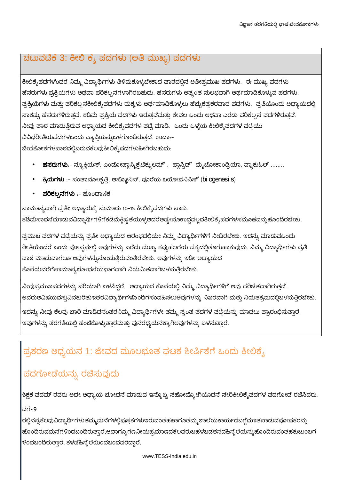#### ಚಟುವಟಿಕೆ 3: ಕೀಲಿ ಕ್ಯೆ ಪದಗಳು (ಅತಿ ಮುಖ್ಯ) ಪದಗಳು

ಕೀಲಿಕ್ಶೆಪದಗಳೆಂದರೆ ನಿಮ್ಮ ವಿದ್ಯಾರ್ಥಿಗಳು ತಿಳಿದುಕೊಳ್ಳಬೇಕಾದ ಪಾಠದಲ್ಲಿನ ಅತೀಪ್ರಮುಖ ಪದಗಳು. ಈ ಮುಖ್ಯ ಪದಗಳು ಹೆಸರುಗಳು,ಪ್ರಕ್ರಿಯೆಗಳು ಅಥವಾ ಪರಿಕಲ್ಪನೆಗಳಾಗಿರಬಹುದು. ಹೆಸರುಗಳು ಅತ್ಯಂತ ಸುಲಭವಾಗಿ ಅರ್ಥಮಾಡಿಕೊಳ್ಳುವ ಪದಗಳು. ಪ್ರಕ್ರಿಯೆಗಳು ಮತ್ತು ಪರಿಕಲ್ಪನೆಕೀಲಿಕ್ಶೆಪದಗಳು ಮಕ್ಕಳು ಅರ್ಥಮಾಡಿಕೊಳ್ಳಲು ಹೆಚ್ಚುಕಷ್ಟಕರವಾದ ಪದಗಳು. ಪ್ರತಿಯೊಂದು ಅಧ್ಯಾಯದಲ್ಲಿ ಸಾಕಷ್ಟು ಹೆಸರುಗಳಿರುತ್ತವೆ. ಕಡಿಮೆ ಪ್ರಕ್ರಿಯೆ ಪದಗಳು ಇರುತ್ತವೆಮತ್ತು ಕೇವಲ ಒಂದು ಅಥವಾ ಎರಡು ಪರಿಕಲ್ಪನೆ ಪದಗಳಿರುತ್ತವೆ. ನೀವು ಪಾಠ ಮಾಡುತ್ತಿರುವ ಅಧ್ಯಾಯದ ಕೀಲಿಕ್ಶೆಪದಗಳ ಪಟ್ಟಿ ಮಾಡಿ. ಒಂದು ಒಳ್ಳೆಯ ಕೀಲಿಕ್ಶೆಪದಗಳ ಪಟ್ಟಿಯು ವಿವಿಧರೀತಿಯಪದಗಳಒಂದು ವ್ಯಾಪ್ತಿಯನ್ನುಒಳಗೊಂಡಿರುತ್ತದೆ. ಉದಾ:-

ಜೀವಕೋಶಗಳಪಾಠದಲ್ಲಿಬರುವಕೆಲವುಕೀಲಿಕ್ಕೆ ಪದಗಳುಹೀಗಿರಬಹುದು:

- **ಹೆಸರುಗಳು**:- ನ್ಯೂಕ್ಲಿಯಸ್, ಎಂಡೋಪ್ಲಾಸ್ಮಿಕ್ರೆಟಿಕ್ಯುಲಮ್' , ಪ್ಲಾಸ್ಸಿಡ್' ಮೈಟೋಕಾಂಡ್ರಿಯಾ, ವ್ಯಾಕುಓಲ್ ........
- ಕ್ರಿಯೆಗಳು :- ಸಂತಾನೋತ್ಸತ್ತಿ, ಆಸ್ಮ್ರೋಸಿಸ್, ಪೊರೆಯ ಬಯೋಜೆನಿಸಿಸ್' (bi ogenesi s)
- ಪ**ರಿಕಲ್ಪನೆಗಳು** :- ಹೊಂದಾಣಿಕೆ

ಸಾಮಾನ್ಯವಾಗಿ ಪ್ರತೀ ಅಧ್ಯಾಯಕ್ಕೆ ಸುಮಾರು 10-15 ಕೀಲಿಕ್ಕೆಪದಗಳು ಸಾಕು. ಕಡಿಮೆಸಾಧನೆಮಾಡುವವಿದ್ಯಾರ್ಥಿಗಳಿಗೆಕಡಿಮೆಕ್ಲಿಷ್ಟತೆಯುಳ್ಳಆದರೆಅಷ್ಟೇನೂಉದ್ದವಲ್ಲದಕೀಲಿಕ್ಕೆ,ಪದಗಳಸಮೂಹವನ್ನುಹೊಂದಿರಬೇಕು.

ಪ್ರಮುಖ ಪದಗಳ ಪಟ್ಟಿಯನ್ನು ಪ್ರತೀ ಅಧ್ಯಾಯದ ಆರಂಭದಲ್ಲಿಯೇ ನಿಮ್ಮ ವಿದ್ಯಾರ್ಥಿಗಳಿಗೆ ನೀಡಿರಬೇಕು. ಇದನ್ನು ಮಾಡುವಒಂದು ರೀತಿಯೆಂದರೆ ಒಂದು ಪೋಸ್ಪರ್ನಲ್ಲಿ ಅವುಗಳನ್ನು ಬರೆದು ಮುಖ್ಯ ಕಪ್ಪುಹಲಗೆಯ ಪಕ್ಕದಲ್ಲಿತೂಗುಹಾಕುವುದು. ನಿಮ್ಮ ವಿದ್ಯಾರ್ಥಿಗಳು ಪ್ರತಿ ಪಾಠ ಮಾಡುವಾಗಲೂ ಅವುಗಳನ್ನುನೋಡುತ್ತಿರುವಂತಿರಬೇಕು. ಅವುಗಳನ್ನು ಇಡೀ ಅಧ್ಯಾಯದ ಕೊನೆಯವರೆಗೆಸಾಮಾನ್ಯಬೋಧನೆಯಭಾಗವಾಗಿ ನಿಯಮಿತವಾಗಿಬಳಸುತ್ತಿರಬೇಕು.

ನೀವುಪ್ರಮುಖಪದಗಳನ್ನು ಸರಿಯಾಗಿ ಬಳಸಿದ್ದರೆ, ಅಧ್ಯಾಯದ ಕೊನೆಯಲ್ಲಿ ನಿಮ್ಮ ವಿದ್ಯಾರ್ಥಿಗಳಿಗೆ ಅವು ಪರಿಚಿತವಾಗಿರುತ್ತವೆ. ಅವರುಆವಿಷಯವಸ್ತುವಿನಕುರಿತುಇತರವಿದ್ಯಾರ್ಥಿಗಳೊಂದಿಗೆಸಂವಹಿಸಲುಅವುಗಳನ್ನು ನಿಖರವಾಗಿ ಮತ್ತು ನಿಯತಕ್ರಮದಲ್ಲಿಬಳಸುತ್ತಿರಬೇಕು.

ಇದನ್ನು ನೀವು ಕೆಲವು ಬಾರಿ ಮಾಡಿದನಂತರನಿಮ್ಮ ವಿದ್ಯಾರ್ಥಿಗಳೇ ತಮ್ಮ ಸ್ವಂತ ಪದಗಳ ಪಟ್ರಿಯನ್ನು ಮಾಡಲು ಪ್ರಾರಂಭಿಸುತ್ತಾರೆ. ಇವುಗಳನ್ನು ತರಗತಿಯಲ್ಲಿ ಹಂಚಿಕೊಳ್ಳುತ್ತಾರೆಮತ್ತು ಪುನರಧ್ಯಯನಕ್ಕಾಗಿಅವುಗಳನ್ನು ಬಳಸುತ್ತಾರೆ.

### ಪ್ರಕರಣ ಅಧ್ಯಯನ 1: ಜೀವದ ಮೂಲಭೂತ ಘಟಕ ಶೀರ್ಷಿಕೆಗೆ ಒಂದು ಕೀಲಿಕ್ಕೆ

### ಪದಗೋಡೆಯನ್ನು ರಚಿಸುವುದು

ಶಿಕ್ಷಕ ಪದಮ್ ರವರು ಅದೇ ಅಧ್ಯಾಯ ಬೋಧನೆ ಮಾಡುವ ಇನ್ನೊಬ್ಬ ಸಹೋದ್ಯೋಗಿಯೊಡನೆ ಸೇರಿಕೀಲಿಕ್ಶೆಪದಗಳ ಪದಗೋಡೆ ರಚಿಸಿದರು. ∣ವರ್ಗ9

ರಲ್ಲಿನನ್ನಕೆಲವುವಿದ್ಯಾರ್ಥಿಗಳುತಮ್ಮದುನೆಗಳಲ್ಲಿಪುಸ್ತಕಗಳುಇರುವಂತಹಹಾಗೂತಮ್ಮಶಾಲೆಯಕಾರ್ಯದಬಗ್ಗೆಮಾತನಾಡುವಪೋಷಕರನ್ನು ಹೊಂದಿರುವಮನೆಗಳಿಂದಬಂದಿರುತ್ತಾರೆ.ಆದಾಗ್ಯೂಗಣನೀಯಪ್ರಮಾಣದಕೆಲವರುಬಹಳಬಡತನದಹಿನ್ನೆಲೆಯನ್ನುಹೊಂದಿರುವಂತಹಕುಟುಂಬಗ ಳಿಂದಬಂದಿರುತ್ತಾರೆ. ಕಳಪೆಹಿನ್ನೆಲೆಯಿಂದಬಂದವರಿದ್ದಾರೆ.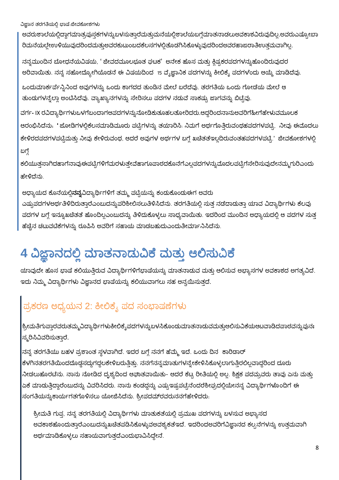ಅವರುಶಾಲೆಯಲ್ಲಿದ್ದಾಗಮಾತ್ರಪುಸ್ತಕಗಳನ್ನುಬಳಸುತ್ತಾರೆಮತ್ತುಮನೆಯಲ್ಲಿಶಾಲೆಯಬಗ್ಗೆಮಾತನಾಡಲುಅವಕಾಶವಿರುವುದಿಲ್ಲ.ಅವರುಎಷ್<u>ರ</u>ೋಬಾ ರಿಮನೆಯಲ್ಲೇಉಳಿಯುವುದರಿಂದಮತ್ತುಅವರಕುಟುಂಬದಕೆಲಸಗಳಲ್ಲಿತೊಡಗಿಸಿಕೊಳ್ಳುವುದರಿಂದಅವರಹಾಜರಾತಿಉತ್ತಮವಾಗಿಲ್ಲ.

ನನ್ನಮುಂದಿನ ಬೋಧನೆಯವಿಷಯ, ' ಜೀವದಮೂಲಭೂತ ಘಟಕ' ಅನೇಕ ಹೊಸ ಮತ್ತು ಕ್ಲಿಷ್ಪಕರಪದಗಳನ್ನುಹೊಂದಿರುವುದರ ಅರಿವಾಯಿತು. ನನ್ನ ಸಹೋದ್ಯೋಗಿಯೊಡನೆ ಈ ವಿಷಯದಿಂದ 15 ವ್ಯೆಜ್ಞಾನಿಕ ಪದಗಳನ್ನು ಕೀಲಿಕ್ಕೆ ಪದಗಳೆಂದು ಆಯ್ಕೆ ಮಾಡಿದೆವು. ಒಂದುಮಾರ್ಕರ್ಪೆನ್ನಿನಿಂದ ಅವುಗಳನ್ನು ಒಂದು ಕಾಗದದ ತುಂದಿನ ಮೇಲೆ ಬರೆದೆವು. ತರಗತಿಯ ಒಂದು ಗೋಡೆಯ ಮೇಲೆ ಆ ತುಂದುಗಳನ್ನೆಲ್ಲಾ ಅಂಟಿಸಿದೆವು. ವ್ಯಾಖ್ಯಾನಗಳನ್ನು ಸೇರಿಸಲು ಪದಗಳ ನಡುವೆ ಸಾಕಷ್ಟು ಜಾಗವನ್ನು ಬಿಟ್ಟೆವು.

ವರ್ಗ- IX ರವಿದ್ಯಾರ್ಥಿಗಳುಒಳಗೆಬಂದಾಗಆಪದಗಳನ್ನುನೋಡಿಕುತೂಹಲತೋರಿದರು.ಆದ್ದರಿಂದನಾನುಅವರಿಗೆಹೀಗೆಹೇಳುವಮೂಲಕ ಆರಂಭಿಸಿದೆನು. ' ಜೋಡಿಗಳಲ್ಲಿಕೆಲಸಮಾಡಿಮೂರು ಪಟ್ಟೆಗಳನ್ನು ತಯಾರಿಸಿ. ನಿಮಗೆ ಅರ್ಥಗೊತ್ತಿರುವಂಥಹಪದಗಳಪಟ್ಟಿ, ನೀವು ಈಮೊದಲು ಕೇಳಿರದಪದಗಳಪಟ್ಟಿಮತ್ತು ನೀವು ಕೇಳಿರುವಂಥ, ಆದರೆ ಅವುಗಳ ಅರ್ಥಗಳ ಬಗ್ಗೆ ಖಚಿತತೆಇಲ್ಲದಿರುವಂತಹಪದಗಳಪಟ್ಟಿ.' ಜೀವಕೋಶಗಳಲ್ಲಿ ಬಗ್ಗೆ

ಕಲಿಯುತ್ತಸಾಗಿದಹಾಗೆನಾವುಈಪಟ್ಟಿಗಳಿಗೆಮರಳುತ್ತೇವೆಹಾಗೂಪಾಠದಕೊನೆಗೆಎಲ್ಲಪದಗಳನ್ನುಮೊದಲಪಟ್ಟಿಗೆಸೇರಿಸುವುದೇನಮ್ಮಗುರಿಎಂದು ಹೇಳಿದೆನು.

. ಅಧ್ಯಾಯದ ಕೊನೆಯಲ್ಲಿ**ನನ್ನ**ವಿದ್ಯಾರ್ಥಿಗಳಿಗೆ ತಮ್ಮ ಪಟ್ಟಿಯನ್ನು ಕಂಡುಕೊಂಡುಈಗ ಅವರು ಎಷ್ಟುಪದಗಳಅರ್ಥತಿಳಿದಿರುತ್ತಾರೆಎಂಬುದನ್ನುಪರಿಶೀಲಿಸಲುತಿಳಿಸಿದೆನು. ತರಗತಿಯಲ್ಲಿ ಸುತ್ತ ನಡೆದಾಡುತ್ತಾ ಯಾವ ವಿದ್ಯಾರ್ಥಿಗಳು ಕೆಲವು ಪದಗಳ ಬಗ್ಗೆ ಇನ್ನೂಖಚಿತತೆ ಹೊಂದಿಲ್ಲಎಂಬುದನ್ನು ತಿಳಿದುಕೊಳ್ಳಲು ಸಾಧ್ಯವಾಯಿತು. ಇದರಿಂದ ಮುಂದಿನ ಅಧ್ಯಾಯದಲ್ಲಿ ಆ ಪದಗಳ ಸುತ್ತ ಹೆಚ್ಚಿನ ಚಟುವಟಿಕೆಗಳನ್ನು ರೂಪಿಸಿ ಅವರಿಗೆ ಸಹಾಯ ಮಾಡಬಹುದುಎಂದುತೀರ್ಮಾನಿಸಿದೆನು.

## 4 ವಿಜ್ಞಾನದಲ್ಲಿ ಮಾತನಾಡುವಿಕೆ ಮತ್ತು ಆಲಿಸುವಿಕೆ

ಯಾವುದೇ ಹೊಸ ಭಾಷೆ ಕಲಿಯುತ್ತಿರುವ ವಿದ್ಯಾರ್ಥಿಗಳಿಗೆಭಾಷೆಯನ್ನು ಮಾತನಾಡುವ ಮತ್ತು ಆಲಿಸುವ ಅಭ್ಯಾಸಗಳ ಅವಕಾಶದ ಅಗತ್ಯವಿದೆ. ಇದು ನಿಮ್ಮ ವಿದ್ಯಾರ್ಥಿಗಳು ವಿಜ್ಞಾನದ ಭಾಷೆಯನ್ನು ಕಲಿಯುವಾಗಲು ಸಹ ಅನ್ವಯಿಸುತ್ತದೆ.

### ಪ್ರಕರಣ ಅಧ್ಯಯನ 2: ಕೀಲಿಕ್ಶೆ ಪದ ಸಂಭಾಷಣೆಗಳು

ಶ್ರೀದುತಿಗುಪ್ತಾರವರುತಮ್ಮವಿದ್ಯಾರ್ಥಿಗಳುಕೀಲಿಕ್ಶೆ ಪದಗಳನ್ನುಬಳಸಿಕೊಂಡುಮಾತನಾಡುವಮತ್ತುಆಲಿಸುವಿಕೆಯಆಟವಾಡಿದಪಾಠವನ್ನುಪುನಃ ಸ್ಮರಿಸಿವಿದರಿಸುತ್ತಾರೆ.

ನನ್ನ ತರಗತಿಯು ಬಹಳ ಪ್ರಶಾಂತ ಸ್ಥಳವಾಗಿದೆ. ಇದರ ಬಗ್ಗೆ ನನಗೆ ಹೆಮ್ಮೆ ಇದೆ. ಒಂದು ದಿನ ಕಾರಿಡಾರ್ |ಕೆಳಗಿನತರಗತಿಯಿಂದದೊಡ್ಡಸದ್ದುಗದ್ದಲಕೇಳಿಬರುತ್ತಿತ್ತು. ನನಗೆನನ್ನಮಾತುಗಳನ್ನೇಕೇಳಿಸಿಕೊಳ್ಳಲಾಗುತ್ತಿರಲಿಲ್ಲವಾದ್ದರಿಂದ ದೂರು ನೀಡಲುಹೊರಟೆನು. ನಾನು ನೋಡಿದ ದೃಶ್ಯದಿಂದ ಆಘಾತವಾಯಿತು- ಆದರೆ ಕೆಟ್ಸ ರೀತಿಯಲ್ಲಿ ಅಲ್ಲ. ಶಿಕ್ಷಕ ಪದಮ್ರವರು ತಾವು ಏನು ಮತ್ತು ಏಕೆ ಮಾಡುತ್ತಿದ್ದಾರೆಂಬುದನ್ನು ವಿವರಿಸಿದರು. ನಾನು ಕಂಡದ್ದನ್ನು ಎಷ್ಟುಇಷ್ಟಪಟ್ಟೆನೆಂದರೆಶೀಘ್ರದಲ್ಲಿಯೇನನ್ನ ವಿದ್ಯಾರ್ಥಿಗಳೊಂದಿಗೆ ಈ ಸಂಗತಿಯನ್ನುಕಾರ್ಯಗತಗೊಳಿಸಲು ಯೋಜಿಸಿದೆನು. ಶ್ರೀಪದಮ್ ರವರುನನಗೆಹೇಳಿದರು:

ಶ್ರೀಮತಿ ಗುಪ್ತ, ನನ್ನ ತರಗತಿಯಲ್ಲಿ ವಿದ್ಯಾರ್ಥಿಗಳು ಮಾತುಕತೆಯಲ್ಲಿ ಪ್ರಮುಖ ಪದಗಳನ್ನು ಬಳಸುವ ಅಭ್ಯಾಸದ ಅವಕಾಶಹೊಂದುತ್ತಾರೆಎಂಬುದನ್ನುಖಚಿತಪಡಿಸಿಕೊಳ್ಳುವಅವಶ್ಯಕತೆಇದೆ. ಇದರಿಂದಅವರಿಗೆವಿಜ್ಞಾನದ ಕಲ್ಪನೆಗಳನ್ನು ಉತ್ತಮವಾಗಿ ಅರ್ಥಮಾಡಿಕೊಳ್ಳಲು ಸಹಾಯವಾಗುತ್ತದೆಎಂದುಭಾವಿಸಿದ್ದೇನೆ.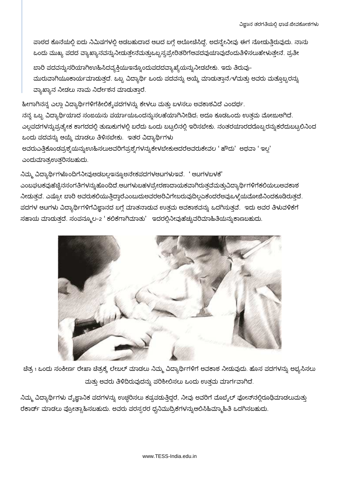ಪಾಠದ ಕೊನೆಯಲ್ಲಿ ಐದು ನಿಮಿಷಗಳಲ್ಲಿ ಆಡಬಹುದಾದ ಆಟದ ಬಗ್ಗೆ ಆಲೋಚಿಸಿದ್ದೆ, ಅದನ್ನೇನೀವು ಈಗ ನೋಡುತ್ತಿರುವುದು. ನಾನು ಒಂದು ಮುಖ್ಯ ಪದದ ವ್ಯಾಖ್ಯಾನವನ್ನುನೀಡುತ್ತೇನೆಮತ್ತುಬ್ಬುಸ್ವಪ್ರೇರಿತರಿಗೆಆಪದವುಯಾವುದೆಂದುತಿಳಿಸಲುಹೇಳುತ್ತೇನೆ. ಪ್ರತೀ

ಬಾರಿ ಪದವನ್ನುಸರಿಯಾಗಿಉಹಿಸಿದವ್ಯಕ್ತಿಯುಇನ್ನೊಂದುಪದದವ್ಯಾಖ್ಯೆಯನ್ನುನೀಡಬೇಕು. ಇದು ತಿರುವು-ಮುರುವಾಗಿಯೂಕಾರ್ಯಮಾಡುತ್ತದೆ. ಒಬ್ಬ ವಿದ್ಯಾರ್ಥಿ ಒಂದು ಪದವನ್ನು ಆಯ್ಕೆ ಮಾಡುತ್ತಾನೆ/ಳೆಮತ್ತು ಅವರು ಮತ್ತೊಬ್ಬರನ್ನು ವ್ಯಾಖ್ಯಾನ ನೀಡಲು ನಾಮ ನಿರ್ದೇಶನ ಮಾಡುತ್ತಾರೆ.

ಹೀಗಾಗಿನನ್ನ ಎಲ್ಲಾ ವಿದ್ಯಾರ್ಥಿಗಳಿಗೆಕೀಲಿಕ್ಶೆಪದಗಳನ್ನು ಕೇಳಲು ಮತ್ತು ಬಳಸಲು ಅವಕಾಶವಿದೆ ಎಂದರ್ಥ. ನನ್ನ ಒಬ್ಬ ವಿದ್ಯಾರ್ಥಿಯಾದ ಸಂಜಯನು ಪರ್ಯಾಯಒಂದನ್ನುಸಲಹೆಯಾಗಿನೀಡಿದ, ಅದೂ ಕೂಡಒಂದು ಉತ್ತಮ ಮೋಜುಆಗಿದೆ. ಎಲ್ಲಪದಗಳನ್ನುಪ್ರತ್ಯೇಕ ಕಾಗದದಲ್ಲಿ ತುಣುಕುಗಳಲ್ಲಿ ಬರೆದು ಒಂದು ಬಟ್ರಲಿನಲ್ಲಿ ಇರಿಸಬೇಕು. ನಂತರಯಾರದರೊಬ್ಬರನ್ನುಕರೆದುಬಟ್ರಲಿನಿಂದ ಒಂದು ಪದವನ್ನು ಆಯ್ಕೆ ಮಾಡಲು ತಿಳಿಸಬೇಕು. ಇತರ ವಿದ್ಯಾರ್ಥಿಗಳು ಅವರುಎತ್ತಿಕೊಂಡಪ್ರಶ್ನೆಯನ್ನುಉಾಹಿಸಲುಅವರಿಗೆಪ್ರಶ್ನೆಗಳನ್ನುಕೇಳಬೇಕುಆದರೆಅವರುಕೇವಲ 'ಹೌದು' ಅಥವಾ ' ಇಲ್ಲ' ಎಂದುಮಾತ್ರಉತರಿಸಬಹುದು.

ನಿಮ್ಮ ವಿದ್ಯಾರ್ಥಿಗಳೊಂದಿಗೆನೀವುಆಡಬಲ್ಲಇನ್ನೂಅನೇಕಪದಗಳಆಟಗಳುಇವೆ. ' ಆಟಗಳಬಳಕೆ' ಎಂಬಘಟಕವುಹೆಚ್ಚಿನಸಂಗತಿಗಳನ್ನುಹೊಂದಿದೆ.ಆಟಗಳುಬಹಳಪ್ರೇರಣಾದಾಯಕವಾಗಿರುತ್ತವೆಮತ್ತುವಿದ್ಯಾರ್ಥಿಗಳಿಗೆಕಲಿಯಲುಅವಕಾಶ ನೀಡುತ್ತವೆ. ಎಷ್ರೋ ಬಾರಿ ಅವರುಕಲಿಯುತ್ತಿದ್ದಾರೆಎಂಬುದುಅವರಅರಿವಿಗೇಬರುವುದಿಲ್ಲವಿಕೆಂದರೆಅವುಒಳ್ಳೆಯಮೋಜಿನಿಂದಕೂಡಿರುತ್ತದೆ. ಪದಗಳ ಆಟಗಳು ವಿದ್ಯಾರ್ಥಿಗಳಿಗೆವಿಜ್ಞಾನದ ಬಗ್ಗೆ ಮಾತನಾಡುವ ಉತ್ತಮ ಅವಕಾಶವನ್ನು ಒದಗಿಸುತ್ತವೆ. ಇದು ಅವರ ತಿಳುವಳಿಕೆಗೆ ಸಹಾಯ ಮಾಡುತ್ತದೆ. ಸಂಪನ್ಮೂಲ-2 'ಕಲಿಕೆಗಾಗಿಮಾತು' ಇದರಲ್ಲಿನೀವುಹೆಚ್ಚುವರಿಮಾಹಿತಿಯನ್ನುಕಾಣಬಹುದು.



ಚಿತ್ರ<sub>1</sub> ಒಂದು ಸಂಕೀರ್ಣ ರೇಖಾ ಚಿತ್ರಕ್ಕೆ ಲೇಬಲ್ ಮಾಡಲು ನಿಮ್ಮ ವಿದ್ಯಾರ್ಥಿಗಳಿಗೆ ಅವಕಾಶ ನೀಡುವುದು. ಹೊಸ ಪದಗಳನ್ನು ಅಭ್ಯಸಿಸಲು ಮತ್ತು ಅವರು ತಿಳಿದಿರುವುದನ್ನು ಪರಿಶೀಲಿಸಲು ಒಂದು ಉತ್ತಮ ಮಾರ್ಗವಾಗಿದೆ.

ನಿಮ್ಮ ವಿದ್ಯಾರ್ಥಿಗಳು ವೈಜ್ಞಾನಿಕ ಪದಗಳನ್ನು ಉಚ್ಚರಿಸಲು ಕಷ್ಟಪಡುತ್ತಿದ್ದರೆ, ನೀವು ಅವರಿಗೆ ಮೊಬ್ಶೆಲ್ ಫೋನ್ನಲ್ಲಿರೂಢಿಮಾಡಲುಮತ್ತು ರೆಕಾರ್ಡ್ ಮಾಡಲು ಪ್ರೋತ್ಸಾಹಿಸಬಹುದು. ಅವರು ಪರಸ್ಪರರ ಧ್ವನಿಮುದ್ರಿಕೆಗಳನ್ನುಆಲಿಸಿಹಿಮ್ಮಾಹಿತಿ ಒದಗಿಸಬಹುದು.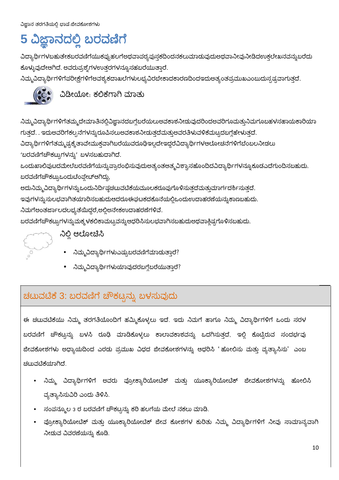# 5 ವಿಜ್ಞಾನದಲ್ಲಿ ಬರವಣಿಗೆ

ವಿದ್ಯಾರ್ಥಿಗಳಬಹುತೇಕಬರವಣಿಗೆಯುಕಪ್ಪುಹಲಗೆಅಥವಾಪಠ್ಯಪುಸ್ತಕದಿಂದನಕಲುಮಾಡುವುದುಅಥವಾನೀವುನೀಡಿದಉಕ್ತಲೇಖನವನ್ನುಬರೆದು ಕೊಳ್ಳುವುದೇಆಗಿದೆ. ಅವರುಪ್ರಶ್ನೆಗಳಉತ್ತರಗಳನ್ನೂಸಹಬರೆಯುತ್ತಾರೆ.

ನಿಮ್ಮವಿದ್ಯಾರ್ಥಿಗಳಿಗೆಪರೀಕ್ಷೆಗಳಿಗೆಅವಶ್ಯಕದಾಖಲೆಗಳುಲಭ್ಯವಿರಬೇಕಾದಕಾರಣದಿಂದಇದುಅತ್ಯಂತಪ್ರಮುಖಎಂಬುದುಸ್ಪಷ್ಟವಾಗುತ್ತದೆ.



ವಿಡೀಯೋ: ಕಲಿಕೆಗಾಗಿ ಮಾತು

ನಿಮ್ಮವಿದ್ಯಾರ್ಥಿಗಳಿಗೆತಮ್ಮದೇಮಾತಿನಲ್ಲಿವಿಜ್ಞಾನದಬಗ್ಗೆಬರೆಯಲುಅವಕಾಶನೀಡುವುದರಿಂದಅವರಿಗೂಮತ್ತುನಿಮಗೂಬಹಳಸಹಾಯಕಾರಿಯಾ ಗುತ್ತದೆ. . ಇದುಅವರಿಗೆಕಲ್ಪನೆಗಳನ್ನುರೂಪಿಸಲುಅವಕಾಶನೀಡುತ್ತದೆಮತ್ತುಅವರತಿಳುವಳಿಕೆಮಟ್ಟದಬಗ್ಗೆಹೇಳುತ್ತದೆ. ವಿದ್ಯಾರ್ಥಿಗಳಿಗೆತಮ್ಮಷ್ರಕ್ಕೆ ತಾವೇಮುಕ್ತವಾಗಿಬರೆಯುವರೂಢಿಇಲ್ಲದೇಇದ್ದರೆವಿದ್ಯಾರ್ಥಿಗಳಆಲೋಚನೆಗಳಿಗೆಬೆಂಬಲನೀಡಲು 'ಬರವಣಿಗೆಚೌಕಟ್ರುಗಳನ್ನು' ಬಳಸಬಹುದಾಗಿದೆ.

ಒಂದುಖಾಲಿಪುಟದಮೇಲೆಬರವಣಿಗೆಯನ್ನುಪ್ರಾರಂಭಿಸುವುದುಅತ್ಯಂತಆತ್ಮವಿಶ್ವಾಸಹೊಂದಿದವಿದ್ಯಾರ್ಥಿಗಳನ್ನೂಕೂಡಎದೆಗುಂದಿಸಬಹುದು. ಬರವಣಿಗೆಚೌಕಟ್ರುಒಂದುಟೆಂಪ್ಲೇಟ್ಆಗಿದ್ದು,

ಅದುನಿಮ್ಮವಿದ್ಯಾರ್ಥಿಗಳನ್ನುಒಂದುನಿರ್ದಿಷ್ಠಚಟುವಟಿಕೆಯಮೂಲಕರೂಪುಗೊಳಿಸುತ್ತದೆಮತ್ತುಮಾರ್ಗದರ್ಶಿಸುತ್ತದೆ. ಇವುಗಳನ್ನುಸುಲಭವಾಗಿತಯಾರಿಸಬಹುದುಆದರೂಈಘಟಕದಕೊನೆಯಲ್ಲಿಒಂದುಉದಾಹರಣೆಯನ್ನುಕಾಣಬಹುದು. ನಿಮಗೆಅಂತರ್ಜಾಲದಲಭ್ಯತೆಯಿದ್ದರೆ,ಅಲ್ಲಿಅನೇಕಉದಾಹರಣೆಗಳಿದೆ.

ಬರವಣಿಗೆಚೌಕಟ್ರುಗಳನ್ನುಮಕ್ಕಳಕಲಿಕಾಮಟ್ಟವನ್ನುಆಧರಿಸಿಸುಲಭವಾಗಿಸಬಹುದುಅಥವಾಕ್ಲಿಷ್ಟಗೊಳಿಸಬಹುದು.



ನಿಲ್ಲಿ ಆಲೋಚಿಸಿ

- ನಿಮ್ಮವಿದ್ಯಾರ್ಥಿಗಳುಎಷ್ರುಬರವಣಿಗೆಮಾಡುತ್ತಾರೆ?
- ನಿಮ್ಮವಿದ್ಯಾರ್ಥಿಗಳುಯಾವುದರಬಗ್ಗೆಬರೆಯುತ್ತಾರೆ?

### ಚಟುವಟಿಕೆ 3: ಬರವಣಿಗೆ ಚೌಕಟ್ರನ್ನು ಬಳಸುವುದು

ಈ ಚಟುವಟಿಕೆಯು ನಿಮ್ಮ ತರಗತಿಯೊಂದಿಗೆ ಹಮ್ಮಿಕೊಳ್ಳಲು ಇದೆ. ಇದು ನಿಮಗೆ ಹಾಗೂ ನಿಮ್ಮ ವಿದ್ಯಾರ್ಥಿಗಳಿಗೆ ಒಂದು ಸರಳ ಬರವಣಿಗೆ ಚೌಕಟ್ರನ್ನು ಬಳಸಿ ರೂಢಿ ಮಾಡಿಕೊಳ್ಳಲು ಕಾಲಾವಕಾಶವನ್ನು ಒದಗಿಸುತ್ತದೆ, ಇಲ್ಲಿ ಕೊಟ್ರಿರುವ ಸಂದರ್ಭವು ಜೀವಕೋಶಗಳು ಅಧ್ಯಾಯದಿಂದ ಎರಡು ಪ್ರಮುಖ ವಿಧದ ಜೀವಕೋಶಗಳನ್ನು ಆಧರಿಸಿ 'ಹೋಲಿಸು ಮತ್ತು ವ್ಯತ್ಯಾಸಿಸು' ಎಂಬ ಚಟುವಟಿಕೆಯಾಗಿದೆ.

- ನಿಮ್ಮ ವಿದ್ಯಾರ್ಥಿಗಳಿಗೆ ಅವರು ಪ್ರೋಕ್ಯಾರಿಯೋಟಿಕ್ ಮತ್ತು ಯೂಕ್ಯಾರಿಯೋಟಿಕ್ ಜೀವಕೋಶಗಳನ್ನು ಹೋಲಿಸಿ ವ್ಯತ್ಯಾಸಿಸುವಿರಿ ಎಂದು ತಿಳಿಸಿ.
- ಸಂಪನ್ಮೂಲ 3 ರ ಬರವಣಿಗೆ ಚೌಕಟ್ರನ್ನು ಕರಿ ಹಲಗೆಯ ಮೇಲೆ ನಕಲು ಮಾಡಿ.
- ಪ್ರೋಕ್ಯಾರಿಯೋಟಿಕ್ ಮತ್ತು ಯೂಕ್ಯಾರಿಯೋಟಿಕ್ ಜೀವ ಕೋಶಗಳ ಕುರಿತು ನಿಮ್ಮ ವಿದ್ಯಾರ್ಥಿಗಳಿಗೆ ನೀವು ಸಾಮಾನ್ಯವಾಗಿ ನೀಡುವ ವಿವರಣೆಯನ್ನು ಕೊಡಿ.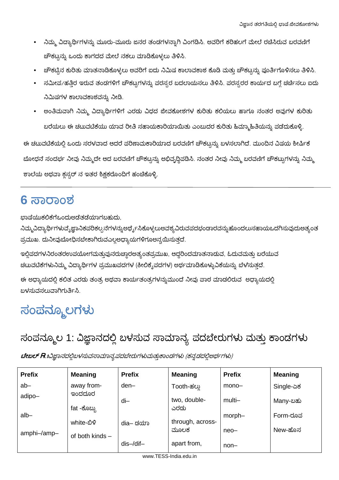- ನಿಮ್ಮ ವಿದ್ಯಾರ್ಥಿಗಳನ್ನು ಮೂರು-ಮೂರು ಜನರ ತಂಡಗಳನ್ನಾಗಿ ವಿಂಗಡಿಸಿ. ಅವರಿಗೆ ಕರಿಹಲಗೆ ಮೇಲೆ ರಚಿಸಿರುವ ಬರವಣಿಗೆ  $\bullet$ ಚೌಕಟ್ರನ್ನು ಒಂದು ಕಾಗದದ ಮೇಲೆ ನಕಲು ಮಾಡಿಕೊಳ್ಳಲು ತಿಳಿಸಿ.
- ಚೌಕಟ್ಟಿನ ಕುರಿತು ಮಾತನಾಡಿಕೊಳ್ಳಲು ಅವರಿಗೆ ಐದು ನಿಮಿಷ ಕಾಲಾವಕಾಶ ಕೊಡಿ ಮತ್ತು ಚೌಕಟ್ಟನ್ನು ಪೂರ್ತಿಗೊಳಿಸಲು ತಿಳಿಸಿ.
- ್ಸಮೀಪ∕ಹತ್ತಿರ ಇರುವ ತಂಡಗಳಿಗೆ ಚೌಕಟ್ಟಗಳನ್ನು ಪರಸ್ಪರ ಬದಲಾಯಸಲು ತಿಳಿಸಿ. ಪರಸ್ಪರರ ಕಾರ್ಯದ ಬಗ್ಗೆ ಚರ್ಚಿಸಲು ಐದು ನಿಮಿಷಗಳ ಕಾಲಾವಕಾಶವನ್ನು ನೀಡಿ.
- ಅಂತಿಮವಾಗಿ ನಿಮ್ಮ ವಿದ್ಯಾರ್ಥಿಗಳಿಗೆ ಎರಡು ವಿಧದ ಜೀವಕೋಶಗಳ ಕುರಿತು ಕಲಿಯಲು ಹಾಗೂ ನಂತರ ಅವುಗಳ ಕುರಿತು  $\bullet$ ಬರೆಯಲು ಈ ಚಟುವಟಿಕೆಯು ಯಾವ ರೀತಿ ಸಹಾಯಕಾರಿಯಾಯಿತು ಎಂಬುದರ ಕುರಿತು ಹಿಮ್ಮಾಹಿತಿಯನ್ನು ಪಡೆದುಕೊಳ್ಳಿ.

ಈ ಚಟುವಟಿಕೆಯಲ್ಲಿ ಒಂದು ಸರಳವಾದ ಆದರೆ ಪರಿಣಾಮಕಾರಿಯಾದ ಬರವಣಿಗೆ ಚೌಕಟ್ರನ್ನು ಬಳಸಲಾಗಿದೆ. ಮುಂದಿನ ವಿಷಯ ಶೀರ್ಷಿಕೆ ಬೋಧನೆ ಸಂದರ್ಭ ನೀವು ನಿಮ್ಮದೇ ಆದ ಬರವಣಿಗೆ ಚೌಕಟ್ರನ್ನು ಅಭಿವೃದ್ಧಿಪಡಿಸಿ. ನಂತರ ನೀವು ನಿಮ್ಮ ಬರವಣಿಗೆ ಚೌಕಟ್ರುಗಳನ್ನು ನಿಮ್ಮ ಶಾಲೆಯ ಅಥವಾ ಕ್ಲಸ್ರರ್ ನ ಇತರ ಶಿಕ್ಷಕರೊಂದಿಗೆ ಹಂಚಿಕೊಳ್ಳಿ.

### 6 ಸಾರಾಂಶ

ಭಾಷೆಯುಕಲಿಕೆಗೆಒಂದುಅಡೆತಡೆಯಾಗಬಹುದು,

ನಿಮ್ಮವಿದ್ಯಾರ್ಥಿಗಳುವೈಜ್ಞಾನಿಕಪರಿಕಲ್ಪನೆಗಳನ್ನುಅರ್ಥ್ಯೆಸಿಕೊಳ್ಳಲುಅವಶ್ಯವಿರುವಪದಭಂಡಾರವನ್ನುಹೊಂದಲುಸಹಾಯಒದಗಿಸುವುದುಅತ್ಯಂತ ಪ್ರಮುಖ. ದುನೀವುಬೋಧಿಸಬೇಕಾಗಿರುವಎಲ್ಲಅಧ್ಯಾಯಗಳಿಗೂಅನ್ವಯಿಸುತ್ತದೆ.

ಇಲ್ಲಿಪದಗಳನಿರಂತರಉಪಯೋಗಮತ್ತುಪುನರುಚ್ಛಾರಅತ್ಯಂತಪ್ರಮುಖ, ಆದ್ದರಿಂದಮಾತನಾಡುವ, ಓದುವಮತ್ತು ಬರೆಯುವ ಚಟುವಟಿಕೆಗಳುನಿಮ್ಮ ವಿದ್ಯಾರ್ಥಿಗಳ ಪ್ರಮುಖಪದಗಳ (ಕೀಲಿಕ್ಶೆಪದಗಳ) ಅರ್ಥಮಾಡಿಕೊಳ್ಳುವಿಕೆಯನ್ನು ಬೆಳೆಸುತ್ತದೆ.

ಈ ಅಧ್ಯಾಯದಲ್ಲಿ ಕಲಿತ ಎರಡು ತಂತ್ರ ಅಥವಾ ಕಾರ್ಯತಂತ್ರಗಳನ್ನುಮುಂದೆ ನೀವು ಪಾಠ ಮಾಡಲಿರುವ ಅಧ್ಯಾಯದಲ್ಲಿ ಬಳಸುವಸಲುವಾಗಿಗುರ್ತಿಸಿ.

## ಸಂಪನ್ಮೂಲಗಳು

### ಸಂಪನ್ಮೂಲ 1: ವಿಜ್ಞಾನದಲ್ಲಿ ಬಳಸುವ ಸಾಮಾನ್ಯ ಪದಬೇರುಗಳು ಮತ್ತು ಕಾಂಡಗಳು

ಟೇಬಲ್ R.ಬಿಜ್ಞಾನದಲ್ಲಿಬಳಸುವಸಾಮಾನ್ಯಪದಬೇರುಗಳುಮತ್ತುಕಾಂಡಗಳು (ಕನ್ನಡದಲ್ಲಿಅರ್ಥಗಳು)

| <b>Prefix</b> | <b>Meaning</b>        | <b>Prefix</b> | <b>Meaning</b>       | <b>Prefix</b> | <b>Meaning</b> |
|---------------|-----------------------|---------------|----------------------|---------------|----------------|
| $ab -$        | away from-            | $den-$        | Tooth-ಹಲು            | mono          | Single-ಏಕ      |
| adipo-        | ಇಂದದೂರ<br>fat -ಕೊಬ್ಬು | di-           | two, double-<br>ಎರಡು | multi-        | Many-ಬಹು       |
| $alb-$        | white-ಬಿಳಿ            | dia– ದಯಾ      | through, across-     | morph-        | Form-ರೂಪ       |
| amphi-/amp-   | of both kinds $-$     |               | ಮೂಲಕ                 | $neo-$        | New-ಹೊಸ        |
|               |                       | $dis$ -/dif-  | apart from,          | $non-$        |                |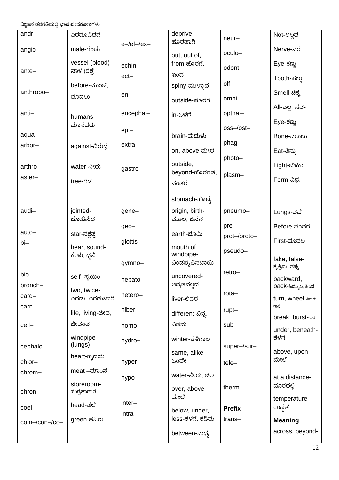| ශා              |                             |                       |                                    |                         |                                   |
|-----------------|-----------------------------|-----------------------|------------------------------------|-------------------------|-----------------------------------|
| andr-           | ಎರಡೂವಿಧದ                    |                       | deprive-<br>ಹೊರತಾಗಿ                | neur-                   | Not-ಅಲ್ಲದ                         |
| angio-          | male-ಗಂಡು                   | $e$ -/ $ef$ -/ $ex$ - | out, out of,                       | oculo-                  | Nerve-ನರ                          |
|                 | vessel (blood)-             | echin-                | from-ಹೊರಗೆ,                        | odont-                  | Eye-ಕಣ್ಣು                         |
| ante-           | ನಾಳೆ (ರಕ್ರೆ)                | $ect-$                | ಇಂದ                                |                         | Tooth-ಹಲ್ಲು                       |
| anthropo-       | before-ಮುಂಚೆ,               | $en-$                 | spiny-ಮುಳ್ಳಾದ                      | olf-                    | Smell-ಚಿಕ್ಕ                       |
|                 | ದೊದಲು                       |                       | outside-ಹೊರಗೆ                      | omni-                   | All-ಎಲ್ಲ. ಸರ್ವ                    |
| anti-           | humans-                     | encephal-             | in-ಒಳಗೆ                            | opthal-                 |                                   |
|                 | ಮಾನವರು                      | epi-                  |                                    | oss-/ost-               | Eye-ಕಣ್ಣು                         |
| aqua-<br>arbor- |                             | extra-                | brain-ಮೆದುಳು                       | phag-                   | Bone-ಎಲುಬು                        |
|                 | against-ವಿರುದ್ಧ             |                       | on, above-ಮೇಲೆ                     | photo-                  | Eat-ತಿನ್ನು                        |
| arthro-         | water-ನೀರು                  | gastro-               | outside,                           |                         | Light-ಬೆಳಕು                       |
| aster-          | tree-ಗಿಡ                    |                       | beyond-ಹೊರಗಡೆ,<br>ನಂತರ             | plasm-                  | Form-ವಿಧ,                         |
|                 |                             |                       |                                    |                         |                                   |
|                 |                             |                       | stomach-ಹೊಟ್ರೆ                     |                         |                                   |
| audi-           | jointed-<br>ಜೋಡಿಸಿದ         | gene-                 | origin, birth-<br>ಮೂಲ, ಜನನ         | pneumo-                 | Lungs-ವಪೆ                         |
| auto-           |                             | $geo-$                |                                    | pre-                    | Before-ನಂತರ                       |
| bi-             | star-ನಕ್ಷತ್ರ                | glottis-              | earth-ಭೂಮಿ                         | prot-/proto-            | First-ಮೊದಲ                        |
|                 | hear, sound-<br>ಕೇಳು, ಧ್ವನಿ |                       | mouth of<br>windpipe-              | pseudo-                 |                                   |
|                 |                             | gymno-                | ವಿಂಡಪ್ಶೆಪಿನಬಾಯಿ                    |                         | fake, false-<br>ಕೃತ್ರಿದು, ತಪ್ಪು   |
| bio-            | self -ಸ್ವಯಂ                 | hepato-               | uncovered-                         | retro-                  | backward,                         |
| bronch-         | two, twice-                 | hetero-               | ಆವ್ರತವಲ್ಲದ                         | rota-                   | back-ಹಿಮ್ಮುಖ, ಹಿಂದೆ               |
| card-<br>carn-  | ಎರಡು, ಎರಡುಬಾರಿ              |                       | liver-ಲಿವರ                         |                         | turn, wheel-3000,<br>ಗಾಲಿ         |
|                 | life, living-ಜೀವ,           | hiber-                | different-ಭಿನ್ನ,                   | rupt-                   | break, burst-&d,                  |
| cell-           | ಜೀವಂತ                       | homo-                 | ವಿಷದು                              | $sub-$                  | under, beneath-                   |
|                 | windpipe<br>(lungs)-        | hydro-                | winter-ಚಳಿಗಾಲ                      |                         | ಕೆಳಗೆ                             |
| cephalo-        | heart-ಹೃದಯ                  |                       | same, alike-                       | super-/sur-             | above, upon-                      |
| chlor-          |                             | hyper-                | ಒಂದೇ                               | tele-                   | ಮೇಲೆ                              |
| chrom-          | meat –ಮಾಂಸ                  | hypo-                 | water-ನೀರು, ಜಲ                     |                         | at a distance-                    |
| chron-          | storeroom-<br>ಸಂಗ್ರಹಾಗಾರ    |                       | over, above-                       | therm-                  | ದೂರದಲ್ಲಿ                          |
|                 | head-ತಲೆ                    | inter-                | ಮೇಲೆ                               |                         | temperature-<br>ಉಷ್ಣತೆ            |
| coel-           | green-ಹಸಿರು                 | intra-                | below, under,<br>less-ಕೆಳಗೆ, ಕಡಿಮೆ | <b>Prefix</b><br>trans- |                                   |
| com-/con-/co-   |                             |                       |                                    |                         | <b>Meaning</b><br>across, beyond- |
|                 |                             |                       | between-ಮಧ್ಯ                       |                         |                                   |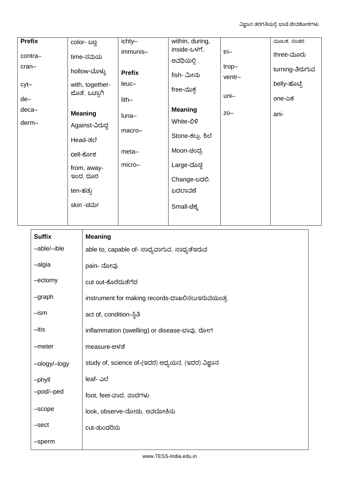| <b>Prefix</b><br>contra-<br>cran-<br>$cyt-$<br>$de-$<br>deca-<br>derm- | color- ಬಣ್ಣ<br>time-ಸಮಯ<br>hollow-ಟೊಳ್ಳು<br>with, together-<br>ಜೊತೆ, ಒಟ್ರಾಗಿ<br><b>Meaning</b><br>Against-ವಿರುದ್ಧ<br>Head-ತಲೆ<br>cell-ಕೋಶ<br>from, away-<br>ಇಂದ, ದೂರ<br>ten-ಹತ್ತು<br>skin -ಚರ್ಮ | ichty-<br>immunis-<br><b>Prefix</b><br>$leuc-$<br>lith-<br>luna-<br>macro-<br>meta-<br>micro- | within, during,<br>inside-ಒಳಗೆ,<br>ಅವಧಿಯಲ್ಲಿ<br>fish- ಮೀನು<br>free-ಮುಕ್ತ<br><b>Meaning</b><br>White-ಬಿಳಿ<br>Stone-ಕಲ್ಲು, ಶಿಲೆ<br>Moon-ಚಂದ್ರ<br>Large-ದೊಡ್ಡ<br>Change-ಬದಲಿ,<br>ಬದಲಾವಣೆ<br>Small-ಚಿಕ್ಕ | $tri-$<br>$trop-$<br>ventr-<br>$uni-$<br>$ZO-$ | ಮೂಲಕ, ನಂತರ<br>three-ಮೂರು<br>turning-ತಿರುಗುವ<br>belly-ಹೊಟ್ರೆ<br>one-ಏಕ<br>ani- |
|------------------------------------------------------------------------|-------------------------------------------------------------------------------------------------------------------------------------------------------------------------------------------------|-----------------------------------------------------------------------------------------------|------------------------------------------------------------------------------------------------------------------------------------------------------------------------------------------------------|------------------------------------------------|-------------------------------------------------------------------------------|
|------------------------------------------------------------------------|-------------------------------------------------------------------------------------------------------------------------------------------------------------------------------------------------|-----------------------------------------------------------------------------------------------|------------------------------------------------------------------------------------------------------------------------------------------------------------------------------------------------------|------------------------------------------------|-------------------------------------------------------------------------------|

| <b>Suffix</b> | <b>Meaning</b>                                   |
|---------------|--------------------------------------------------|
| -able/-ible   | able to, capable of- ಸಾಧ್ಯವಾಗುವ, ಸಾಧ್ಯತೆಇರುವ     |
| -algia        | pain- ನೋವು                                       |
| -ectomy       | cut out-ಕೊರೆದುತೆಗೆದ                              |
| -graph        | instrument for making records-ದಾಖಲಿಸಲುಇರುವಯಂತ್ರ  |
| $-ism$        | act of, condition-ಸ್ಥಿತಿ                         |
| $-$ itis      | inflammation (swelling) or disease-ಬಾವು, ರೋಗ     |
| $-$ meter     | measure-ಅಳತೆ                                     |
| -ology/-logy  | study of, science of-(ಇದರ) ಅಧ್ಯಯನ, (ಇದರ) ವಿಜ್ಞಾನ |
| -phyll        | leaf- ಎಲೆ                                        |
| -pod/-ped     | foot, feet-ಪಾದ, ಪಾದಗಳು                           |
| $-$ scope     | look, observe-ನೋಡು, ಅವಲೋಕಿಸು                     |
| -sect         | cut-ತುಂಡರಿಸು                                     |
| -sperm        |                                                  |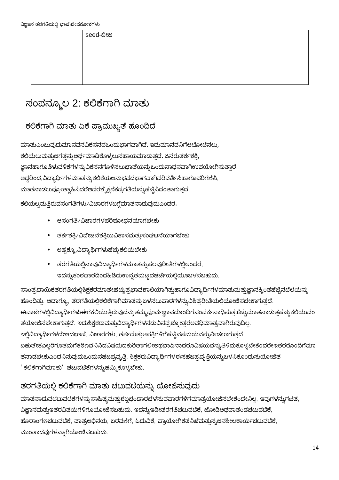| seed-ಬೀಜ |  |  |
|----------|--|--|
|          |  |  |
|          |  |  |
|          |  |  |
|          |  |  |
|          |  |  |

### ಸಂಪನ್ಮೂಲ 2: ಕಲಿಕೆಗಾಗಿ ಮಾತು

### ಕಲಿಕೆಗಾಗಿ ಮಾತು ಏಕೆ ಪ್ರಾಮುಖ್ಯತೆ ಹೊಂದಿದೆ

ಮಾತುಎಂಬುವುದುಮಾನವನವಿಕಸನದಒಂದುಭಾಗವಾಗಿದೆ. ಇದುಮಾನವನಿಗೆಆಲೋಚಿಸಲು, ಕಲಿಯಲುಮತ್ತುಜಗತ್ತನ್ನುಅರ್ಥಮಾಡಿಕೊಳ್ಳಲುಸಹಾಯಮಾಡುತ್ತದೆ. ಜನರುತರ್ಕಶಕ್ತಿ, ಜ್ಞಾನಹಾಗೂತಿಳುವಳಿಕೆಗಳನ್ನುವಿಕಸನಗೊಳಿಸಲುಭಾಷೆಯನ್ನುಒಂದುಸಾಧನವಾಗಿಉಪಯೋಗಿಸುತ್ತಾರೆ. ಆದ್ದರಿಂದ,ವಿದ್ಯಾರ್ಥಿಗಳಮಾತನ್ನುಕಲಿಕೆಯಅನುಭವದಭಾಗವಾಗಿಪರಿವರ್ತಿಸಿಹಾಗೂಪರಿಗಣಿಸಿ, ಮಾತನಾಡಲುಪ್ರೋತ್ಸಾಹಿಸಿದರೆಅವರಶ್ಶೆಕ್ಷಣಿಕಪ್ರಗತಿಯನ್ನುಹೆಚ್ಚಿಸಿದಂತಾಗುತ್ತದೆ.

ಕಲಿಯಲ್ಪಡುತಿರುವಸಂಗತಿಗಳು/ವಿಚಾರಗಳಬಗ್ಗೆಮಾತನಾಡುವುದುಎಂದರೆ.

- ಆಸಂಗತಿ/ವಿಚಾರಗಳಪರಿಶೋಧನೆಯಾಗಬೇಕು
- ತರ್ಕಶಕ್ತಿ/ವಿದೇಚನೆಶಕ್ತಿಯವಿಕಾಸಮತ್ತುಸಂಘಟನೆಯಾಗಬೇಕು
- ಅಷ್ಟಕ್ಕೂ,ವಿದ್ಯಾರ್ಥಿಗಳುಹೆಚ್ಚುಕಲಿಯಬೇಕು
- ತರಗತಿಯಲ್ಲಿನಾವುವಿದ್ಯಾರ್ಥಿಗಳಮಾತನ್ನುಹಲವುರೀತಿಗಳಲ್ಲಿಅಂದರೆ, ಇದನ್ನುಕಂಠಪಾಠದಿಂದಹಿಡಿದುಉನ್ನತಮಟ್ಟದಚರ್ಚೆಯಲ್ಲಿಯೂಬಳಸಬಹುದು.

ಸಾಂಪ್ರದಾಯಿಕತರಗತಿಯಲ್ಲಿಶಿಕ್ಷಕರಮಾತೇಹೆಚ್ಚುಪ್ರಭಾವಶಾಲಿಯಾಗಿತ್ತುಹಾಗೂವಿದ್ಯಾರ್ಥಿಗಳಮಾತುಮತ್ತುಜ್ಞಾನಕ್ಕಿಂತಹೆಚ್ಚಿನಬೆಲೆಯನ್ನು ಹೊಂದಿತ್ತು. ಆದಾಗ್ಯೂ, ತರಗತಿಯಲ್ಲಿಕಲಿಕೆಗಾಗಿಮಾತನ್ನುಬಳಸಲುಪಾಠಗಳನ್ನುವಿಶಿಷ್ಟರೀತಿಯಲ್ಲಿಯೋಜಿಸಬೇಕಾಗುತ್ತದೆ. ಈಪಾಠಗಳಲ್ಲಿವಿದ್ಯಾರ್ಥಿಗಳುಈಗಕಲಿಯುತ್ತಿರುವುದನ್ನುತಮ್ಮಪೂರ್ವಜ್ಞಾನದೊಂದಿಗೆಸಂಪರ್ಕಸಾಧಿಸುತ್ತಹೆಚ್ಚುಮಾತನಾಡುತ್ತಹೆಚ್ಚುಕಲಿಯುವಂ ತೆಯೋಜಿಸಬೇಕಾಗುತ್ತದೆ. ಇದುಶಿಕ್ಷಕರುಮತ್ತುವಿದ್ಯಾರ್ಥಿಗಳನಡುವಿನಪ್ರಶ್ನೋತ್ತರಅವಧಿಮಾತ್ರವಾಗಿರುವುದಿಲ್ಲ. ಇಲ್ಲಿವಿದ್ಯಾರ್ಥಿಗಳದೇಆದಭಾಷೆ, ವಿಚಾರಗಳು, ತರ್ಕಮತ್ತುಆಸಕ್ತಿಗಳಿಗೆಹೆಚ್ಚಿನಸಮಯವನ್ನುನೀಡಲಾಗುತ್ತದೆ. ಬಹುತೇಕಎಲ್ಲರಿಗೂತಮಗೆಕಠಿಣವೆನಿಸಿದವಿಷಯದಕುರಿತಾಗಲೀಅಥವಾಏನಾದರೂವಿಷಯವನ್ನು ತಿಳಿದುಕೊಳ್ಳಬೇಕೆಂದರೇಇತರರೊಂದಿಗೆಮಾ ತನಾಡಬೇಕುಎಂದೆನಿಸುವುದುಒಂದುಸಹಜಪ್ರವೃತ್ತಿ. ಶಿಕ್ಷಕರುವಿದ್ಯಾರ್ಥಿಗಳಈಸಹಜಪ್ರವೃತ್ತಿಯನ್ನುಬಳಸಿಕೊಂಡುಸುಯೋಜಿತ ' ಕಲಿಕೆಗಾಗಿಮಾತು' ಚಟುವಟಿಕೆಗಳನ್ನುಹಮ್ಮಿಕೊಳ್ಳಬೇಕು.

### ತರಗತಿಯಲ್ಲಿ ಕಲಿಕೆಗಾಗಿ ಮಾತು ಚಟುವಟಿಯನ್ನು ಯೋಜಿಸುವುದು

ಮಾತನಾಡುವಚಟುವಟಿಕೆಗಳನ್ನುಸಾಹಿತ್ಯಮತ್ತುಶಬ್ದಭಂಡಾರಬೆಳೆಸುವಪಾಠಗಳಿಗೆಮಾತ್ರಯೋಜಿಸಬೇಕೆಂದೇನಿಲ್ಲ. ಇವುಗಳನ್ನುಗಣಿತ, ವಿಜ್ಞಾನಮತ್ತುಇತರವಿಷಯಗಳಿಗೂಯೋಜಿಸಬಹುದು. ಇದನ್ನುಇಡೀತರಗತಿಚಟುವಟಿಕೆ, ಜೋಡಿಅಥವಾತಂಡಚಟುವಟಿಕೆ, ಹೊರಾಂಗಣಚಟುವಟಿಕೆ, ಪಾತ್ರಅಭಿನಯ, ಬರವಣಿಗೆ, ಓದುವಿಕೆ, ಪ್ರಾಯೋಗಿಕತನಿಖೆಮತ್ತುಸ್ಸಜನಶೀಲಕಾರ್ಯಚಟುವಟಿಕೆ, ಮುಂತಾದವುಗಳನ್ನಾಗಿಯೋಜಿಸಬಹುದು.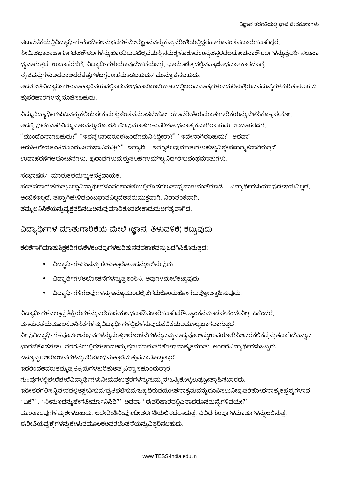ಚಟುವಟಿಕೆಯಲ್ಲಿವಿದ್ಯಾರ್ಥಿಗಳಹಿಂದಿನಅನುಭವಗಳಮೇಲೆಜ್ಞಾನವನ್ನು ಕಟ್ಟುವರೀತಿಯಲ್ಲಿದ್ದರೆಹಾಗೂಸಂತಸದಾಯಕವಾಗಿದ್ದರೆ, ಸೀಮಿತಭಾಷಾಹಾಗೂಗಣಿತಕೌಶಲಗಳನ್ನುಹೊಂದಿರುವಚಿಕ್ಕವಯಸ್ಸಿನಮಕ್ಕಳೂಕೂಡಉನ್ನತಸ್ತರದಆಲೋಚನಾಕೌಶಲಗಳನ್ನುಪ್ರದರ್ಶಿಸಲುಸಾ ಧ್ಯವಾಗುತ್ತದೆ. ಉದಾಹರಣೆಗೆ, ವಿದ್ಯಾರ್ಥಿಗಳುಯಾವುದೇಕಥೆಯಬಗ್ಗೆ, ಛಾಯಾಚಿತ್ರದಲ್ಲಿನಪ್ರಾಣಿಅಥವಾಆಕಾರದಬಗ್ಗೆ, ನ್ಶೆಜವಸ್ತುಗಳುಅಥವಾಅದರಚಿತ್ರಗಳಬಗ್ಗೆಊಹೆಮಾಡಬಹುದು/ ಮುನ್ಸೂಚಿಸಬಹುದು.

ಅದೇರೀತಿವಿದ್ಯಾರ್ಥಿಗಳುಪಾತ್ರಾಭಿನಯದಲ್ಲಿಬರುವಅಥವಾಬೊಂಬೆಯಾಟದಲ್ಲಿಬರುವಪಾತ್ರಗಳುಎದುರಿಸುತ್ತಿರುವಸಮಸ್ಯೆಗಳಕುರಿತುಸಲಹೆಮ ತ್ತುಪರಿಹಾರಗಳನ್ನುಸೂಚಿಸಬಹುದು.

ನಿಮ್ಮವಿದ್ಯಾರ್ಥಿಗಳುಏನನ್ನುಕಲಿಯಬೇಕುಮತ್ತುಚಿಂತನೆಮಾಡಬೇಕೋ, ಯಾವರೀತಿಯಮಾತುಗಾರಿಕೆಯನ್ನುಬೆಳೆಸಿಕೊಳ್ಳಬೇಕೋ, ಅದಕ್ಕೆ ಪೂರಕವಾಗಿನಿಮ್ಮಪಾಠವನ್ನುಯೋಜಿಸಿ.ಕೆಲವುಮಾತುಗಳುಪರಿಶೋಧನಾತ್ಮಕವಾಗಿರಬಹುದು. ಉದಾಹರಣೆಗೆ, "ಮುಂದೆಏನಾಗಬಹುದು?" "ಇದನ್ನೇನಾದರೂಈಹಿಂದೆಗಮನಿಸಿದ್ದೀರಾ?" ' ಇದೇನಾಗಿರಬಹುದು?' ಅಥವಾ" ಅದುಹೀಗೇಯೇಏಕಿದೆಎಂದುನೀನುಭಾವಿಸುತ್ತೀ?" ಇತ್ಯಾದಿ,. ಇನ್ನೂಕೆಲವುಮಾತುಗಳುಹೆಚ್ಚುವಿಶ್ಲೇಷಣಾತ್ಮ್ರಕವಾಗಿರುತ್ತವೆ, ಉದಾಹರಣೆಗೆಆಲೋಚನೆಗಳು, ಪುರಾವೆಗಳುಮತ್ತುಸಲಹೆಗಳಮೌಲ್ಯನಿರ್ಧರಿಸುವಂಥಮಾತುಗಳು.

ಸಂಭಾಷಣೆ∕ ಮಾತುಕತೆಯನ್ನುಆಸಕ್ತಿದಾಯಕ,

ಸಂತಸದಾಯಕಮತ್ತುಎಲ್ಲಾವಿದ್ಯಾರ್ಥಿಗಳೂಸಂಭಾಷಣೆಯಲ್ಲಿತೊಡಗಲುಸಾಧ್ಯವಾಗುವಂತೆಮಾಡಿ. ವಿದ್ಯಾರ್ಥಿಗಳುಯಾವುದೇಭಯವಿಲ್ಲದೆ, ಅಂಜಿಕೆಇಲ್ಲದೆ, ತಪ್ಪಾಗಿಹೇಳಿದೆಎಂಬಭಾವವಿಲ್ಲದೆಅವರುಮುಕ್ತವಾಗಿ, ನಿರಾತಂಕವಾಗಿ, ತಮ್ಮಅನಿಸಿಕೆಯನ್ನುವ್ಯಕ್ತಪಡಿಸಲುಅನುವುಮಾಡಿಕೊಡಬೇಕಾದುದುಅಗತ್ಯವಾಗಿದೆ.

#### ವಿದ್ಯಾರ್ಥಿಗಳ ಮಾತುಗಾರಿಕೆಯ ಮೇಲೆ (ಜ್ಞಾನ, ತಿಳುವಳಿಕೆ) ಕಟ್ಟುವುದು

ಕಲಿಕೆಗಾಗಿಮಾತುಶಿಕ್ಷಕರಿಗೆಈಕೆಳಕಂಡವುಗಳಕುರಿತುಸದವಕಾಶವನ್ನುಒದಗಿಸಿಕೊಡುತ್ತದೆ:

- ವಿದ್ಯಾರ್ಥಿಗಳುಏನನ್ನುಹೇಳುತ್ತಾರೋಅದನ್ನುಆಲಿಸುವುದು.  $\bullet$
- ವಿದ್ಯಾರ್ಥಿಗಳಆಲೋಚನೆಗಳನ್ನುಪ್ರಶಂಶಿಸಿ, ಅವುಗಳಮೇಲೆಕಟ್ರುವುದು.
- ವಿದ್ಯಾರ್ಥಿಗಳಿಗೆಅವುಗಳನ್ನು ಇನ್ನೂಮುಂದಕ್ಕೆ ತೆಗೆದುಕೊಂಡುಹೋಗಲುಪ್ರೋತ್ಸಾಹಿಸುವುದು.

ವಿದ್ಯಾರ್ಥಿಗಳಎಲ್ಲಾಪ್ರತಿಕ್ರಿಯೆಗಳನ್ನುಬರೆಯಬೇಕುಅಥವಾಔಪಚಾರಿಕವಾಗಿಮೌಲ್ಯಾಂಕನಮಾಡಬೇಕೆಂದೇನಿಲ್ಲ, ಏಕೆಂದರೆ,

ಮಾತುಕತೆಯಮೂಲಕಅನಿಸಿಕೆಗಳನ್ನುವಿದ್ಯಾರ್ಥಿಗಳಲ್ಲಿಬೆಳೆಸುವುದುಕಲಿಕೆಯಅಮೂಲ್ಯಭಾಗವಾಗುತ್ತದೆ.

ನೀವುವಿದ್ಯಾರ್ಥಿಗಳಪೂರ್ವಅನುಭವಗಳನ್ನುಮತ್ತುಆಲೋಚನೆಗಳನ್ನುಎಷ್ಟುಸಾಧ್ಯವೋಅಷ್ರುಉಪಯೋಗಿಸಿಅವರಕಲಿಕೆಪ್ರಸ್ತುತವಾಗಿದೆಎನ್ನುವ ಭಾವನೆಕೊಡಬೇಕು. ತರಗತಿಯಲ್ಲಿರಬೇಕಾದಅತ್ಯುತ್ತಮಮಾತುಪರಿಶೋಧನಾತ್ಮಕಮಾತು, ಅಂದರೆವಿದ್ಯಾರ್ಥಿಗಳುಒಬ್ಬರು-

ಇನ್ನೊಬ್ಬರಆಲೋಚನೆಗಳನ್ನುಪರಿಶೋಧಿಸುತ್ತಾರೆಮತ್ತುಸವಾಲೊಡ್ಡುತ್ತಾರೆ.

ಇದರಿಂದಅವರುತಮ್ಮಪ್ರತಿಕ್ರಿಯೆಗಳಕುರಿತುಆತ್ಮವಿಶ್ವಾಸಹೊಂದುತ್ತಾರೆ.

ಗುಂಪುಗಳಲ್ಲಿಬೇರೆಬೇರೆವಿದ್ಯಾರ್ಥಿಗಳುನೀಡುವಉತ್ತರಗಳನ್ನುಸುಮ್ಮನೇಒಪ್ಪಿಕೊಳ್ಳಲುಪ್ರೋತ್ಸಾಹಿಸಬಾರದು.

ಇಡೀತರಗತಿಸನ್ನಿವೇಶದಲ್ಲಿಆಕ್ಷೇಪಿಸುವ/ಪ್ರತಿಭಟಿಸುವ/ಒಪ್ಪದಿರುವಯೋಚನಾಕ್ರಮವನ್ನುರೂಪಿಸಲುನೀವುಪರಿಶೋಧನಾತ್ಮಕಪ್ರಶ್ನೆಗಳಾದ ' ಏಕೆ?' , ' ನೀನುಇದನ್ನುಹೇಗೆತೀರ್ಮಾನಿಸಿದಿ?' ಅಥವಾ ' ಈಪರಿಹಾರದಲ್ಲಿಏನಾದರೂಸಮಸ್ಯೆಗಳಿವೆಯೇ?'

ಮುಂತಾದವುಗಳನ್ನುಕೇಳಬಹುದು. ಅದೇರೀತಿನೀವುಇಡೀತರಗತಿಯಲ್ಲಿನಡೆದಾಡುತ್ತ, ವಿವಿಧಗುಂಪುಗಳಮಾತುಗಳನ್ನುಆಲಿಸುತ್ತ,

ಈರೀತಿಯಪ್ರಶ್ನೆಗಳನ್ನುಕೇಳುವಮೂಲಕಅವರಚಿಂತನೆಯನ್ನುವಿಸ್ತರಿಸಬಹುದು.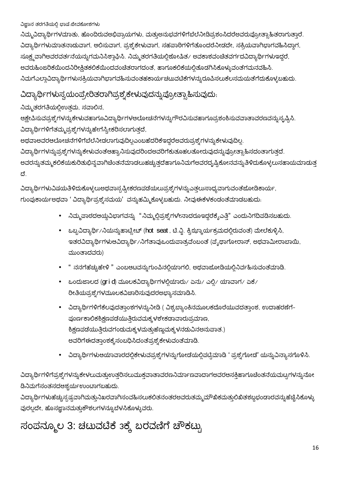ನಿಮ್ಮವಿದ್ಯಾರ್ಥಿಗಳಮಾತು, ಹೊಂದಿರುವಅಭಿಪ್ರಾಯಗಳು, ಮತ್ತುಅನುಭವಗಳಿಗೆಬೆಲೆನೀಡಿಪ್ರಶಂಸಿದರೆಅವರುಪ್ರೋತ್ಸಾಹಿತರಾಗುತ್ತಾರೆ. ವಿದ್ಯಾರ್ಥಿಗಳುಮಾತನಾಡುವಾಗ, ಆಲಿಸುವಾಗ, ಪ್ರಶ್ನೆಕೇಳುವಾಗ, ಸಹಪಾಠಿಗಳಿಗೆತೊಂದರೆನೀಡದೇ, ಸಕ್ರಿಯವಾಗಿಭಾಗವಹಿಸಿದ್ದಾಗ, ಸೂಕ್ಷ್ಮವಾಗಿಅವರವರ್ತನೆಯನ್ನುಗಮನಿಸಿಶ್ಲಾಘಿಸಿ. ನಿಮ್ಮತರಗತಿಯಲ್ಲಿಶೋಷಿತ/ ಅವಕಾಶವಂಚಿತವರ್ಗದವಿದ್ಯಾರ್ಥಿಗಳುಇದ್ದರೆ, ಅವರುಹಿಂಜರಿಕೆಯಿಂದನಿರೀಕ್ಷಿತಕಲಿಕೆಯಿಂದವಂಚಿತರಾಗದಂತೆ, ಹಾಗೂಕಲಿಕೆಯಲ್ಲಿತೊಡಗಿಸಿಕೊಳ್ಳುವಂತೆಗಮನವಹಿಸಿ. ನಿಮಗೆಎಲ್ಲಾವಿದ್ಯಾರ್ಥಿಗಳುಸಕ್ರಿಯವಾಗಿಭಾಗವಹಿಸುವಂತಹಕಾರ್ಯಚಟುವಟಿಕೆಗಳನ್ನುರೂಪಿಸಲುಕೆಲಸಮಯತೆಗೆದುಕೊಳ್ಳಬಹುದು.

#### ವಿದ್ಯಾರ್ಥಿಗಳುಸ್ವಯಂಪ್ರೇರಿತರಾಗಿಪ್ರಶ್ನೆಕೇಳುವುದನ್ನುಪ್ರೋತ್ಸಾಹಿಸುವುದು:

ನಿಮ್ಮತರಗತಿಯಲ್ಲಿಉತ್ತಮ, ಸವಾಲಿನ,

ಆಕ್ಷೇಪಿಸುವಪ್ರಶ್ನೆಗಳನ್ನುಕೇಳುವಹಾಗೂವಿದ್ಯಾರ್ಥಿಗಳಆಲೋಚನೆಗಳನ್ನುಗೌರವಿಸುವಹಾಗೂಪ್ರಶಂಶಿಸುವವಾತಾವರಣವನ್ನುಸೃಷ್ಟಿಸಿ. ವಿದ್ಯಾರ್ಥಿಗಳಿಗೆತಮ್ಮಪ್ರಶ್ನೆಗಳನ್ನುಹೇಗೆಸ್ವೀಕರಿಸಲಾಗುತ್ತದೆ,

ಅಥವಾಅವರಆಲೋಚನೆಗಳಿಗೆಬೆಲೆನೀಡಲಾಗುವುದಿಲ್ಲಎಂಬಹೆದರಿಕೆಇದ್ದರೆಅವರುಪ್ರಶ್ನೆಗಳನ್ನು ಕೇಳುವುದಿಲ್ಲ.

ವಿದ್ಯಾರ್ಥಿಗಳನ್ನುಪ್ರಶ್ನೆಗಳನ್ನುಕೇಳುವಂತೆಆಹ್ವಾನಿಸುವುದರಿಂದಅವರಿಗೆಕುತೂಹಲತೋರುವುದನ್ನುಪ್ರೋತ್ಸಾಹಿಸದಂತಾಗುತ್ತದೆ.

ಅವರನ್ನುತಮ್ಮಕಲಿಕೆಯಕುರಿತುಭಿನ್ನವಾಗಿಚಿಂತನೆಮಾಡಲುಹಚ್ಚುತ್ತದೆಹಾಗೂನಿಮಗೆಅವರದೃಷ್ಟಿಕೋನವನ್ನುತಿಳಿದುಕೊಳ್ಳಲುಸಹಾಯಮಾಡುತ್ತ ದೆ.

ವಿದ್ಯಾರ್ಥಿಗಳುವಿಷಯತಿಳಿದುಕೊಳ್ಳಲುಅಥವಾಸ್ಪಷ್ಟೀಕರಣಪಡೆಯಲುಪ್ರಶ್ನೆಗಳನ್ನುಎತ್ತಲುಸಾಧ್ಯವಾಗುವಂತೆಜೋಡಿಕಾರ್ಯ, ಗುಂಪುಕಾರ್ಯಅಥವಾ 'ವಿದ್ಯಾರ್ಥಿಪ್ರಶ್ನೆಸಮಯ' ವನ್ನುಹಮ್ಮಿಕೊಳ್ಳಬಹುದು. ನೀವುಈಕೆಳಕಂಡಂತೆಮಾಡಬಹುದು:

- ನಿಮ್ಮಪಾಠದಆಯ್ದವಿಭಾಗವನ್ನು "ನಿಮ್ಮಲ್ಲಿಪ್ರಶ್ನೆಗಳೇನಾದರೂಇದ್ದರೆಕ್ಶೆಎತ್ತಿ" ಎಂದುನಿಗದಿಪಡಿಸಬಹುದು.
- ಒಬ್ಬವಿದ್ಯಾರ್ಥಿ/ನಿಯನ್ನುಹಾಟ್ಸೀಟ್ (**hot seat** , ಟಿ.ವ್ಲಿ. ಕ್ವಿಝ್ಕಾರ್ಯಕ್ರಮದಲ್ಲಿರುವಂತೆ) ಮೇಲೆಕುಳ್ಳಿಸಿ, ಇತರವಿದ್ಯಾರ್ಥಿಗಳುಆವಿದ್ಯಾರ್ಥಿ/ನಿಗೆತಾವುಒಂದುಪಾತ್ರವೆಂಬಂತೆ (ಪ್ಶೆಥಾಗೋರಾಸ್, ಅಥವಾಮೀರಾಬಾಯಿ, ಮುಂತಾದವರು)
- " ನನಗೆಹೆಚ್ಚುಹೇಳಿ " ಎಂಬಆಟವನ್ನುಗುಂಪಿನಲ್ಲಿಯಾಗಲಿ, ಅಥವಾಜೋಡಿಯಲ್ಲಿನಿರ್ವಹಿಸುವಂತೆಮಾಡಿ.
- $\bullet$  ಒಂದುಜಾಲದ (grid) ಮೂಲಕವಿದ್ಯಾರ್ಥಿಗಳಲ್ಲಿಯಾರು/ ಏನು/ ಎಲ್ಲಿ/ ಯಾವಾಗ/ ಏಕೆ/ ರೀತಿಯಪ್ರಶ್ನೆಗಳಮೂಲಕವಿಚಾರಿಸುವುದರಅಭ್ಯಾಸಮಾಡಿಸಿ.
- ವಿದ್ಯಾರ್ಥಿಗಳಿಗೆಕೆಲವುದತ್ತಾಂಶಗಳನ್ನುನೀಡಿ ( ವಿಶ್ವಬ್ಯಾಂಕಿನಮೂಲಕದೊರೆಯುವದತ್ತಾಂಶ, ಉದಾಹರಣೆಗೆ-ಪೂರ್ಣಕಾಲಿಕಶಿಕ್ಷಣಪಡೆಯುತ್ತಿರುವಮಕ್ಕಳಶೇಕಡಾವಾರುಪ್ರಮಾಣ, ಶಿಕ್ಷಣಪಡೆಯುತ್ತಿರುವಗಂಡುಮಕ್ಕಳಮತ್ತುಹೆಣ್ಣುಮಕ್ಕಳನಡುವಿನಅನುಪಾತ.) ಅವರಿಗೆಈದತ್ತಾಂಶಕ್ಕೆ ಸಂಬಧಿಸಿದಂತೆಪ್ರಶ್ನೆ ಕೇಳುವಂತೆಮಾಡಿ.
- ವಿದ್ಯಾರ್ಥಿಗಳುಆಯಾವಾರದಲ್ಲಿಕೇಳುವಪ್ರಶ್ನೆಗಳನ್ನುಗೋಡೆಯಲ್ಲಿಪಟ್ಟಿಮಾಡಿ ' ಪ್ರಶ್ನೆಗೋಡೆ' ಯನ್ನುವಿನ್ಯಾಸಗೊಳಿಸಿ.

ವಿದ್ಯಾರ್ಥಿಗಳಿಗೆಪ್ರಶ್ನೆಗಳನ್ನುಕೇಳಲುಮತ್ತುಉತ್ತರಿಸಲುಮುಕ್ತವಾತಾವರಣನಿರ್ಮಾಣವಾದಾಗಅವರಆಸಕ್ತಿಹಾಗೂಚಿಂತನೆಯಮಟ್ಟಗಳನ್ನುನೋ ಡಿನಿಮಗೆಸಂತಸದಆಶ್ಚರ್ಯಉಂಟಾಗಬಹುದು.

ವಿದ್ಯಾರ್ಥಿಗಳುಹೆಚ್ಚುಸ್ಪಷ್ಟವಾಗಿಮತ್ತುನಿಖರವಾಗಿಸಂವಹಿಸಲುಕಲಿತನಂತರಅವರುತಮ್ಮಮೌಖಿಕಮತ್ತುಲಿಖಿತಶಬ್ಧಭಂಡಾರವನ್ನುಹೆಚ್ಚಿಸಿಕೊಳ್ಳು ವುರಲ್ಲದೇ, ಹೊಸಜ್ಞಾನಮತ್ತುಕೌಶಲಗಳನ್ನೂಬೆಳಸಿಕೊಳ್ಳುವರು.

ಸಂಪನ್ಮೂಲ 3: ಚಟುವಟಿಕೆ 3ಕ್ಕೆ ಬರವಣಿಗೆ ಚೌಕಟ್ಟು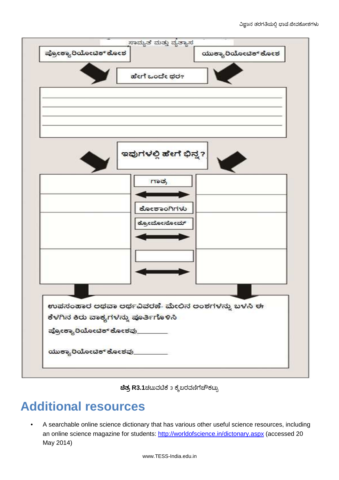|                                                            | ಹೇಗೆ ಒಂದೇ ಥರ?                        |  |
|------------------------------------------------------------|--------------------------------------|--|
|                                                            |                                      |  |
|                                                            |                                      |  |
|                                                            |                                      |  |
|                                                            |                                      |  |
|                                                            | ಇವುಗಳಲ್ಲಿ ಹ <mark>ೇಗೆ ಭಿ</mark> ನ್ನ? |  |
|                                                            |                                      |  |
|                                                            | ಗಾತ್ರ                                |  |
|                                                            |                                      |  |
|                                                            |                                      |  |
|                                                            | ಕೋಶಾಂಗಿಗಳು                           |  |
|                                                            | ಕ್ರೋಮೋಸೋಮ್                           |  |
|                                                            |                                      |  |
|                                                            |                                      |  |
|                                                            |                                      |  |
|                                                            |                                      |  |
|                                                            |                                      |  |
| ಉಪಸಂಹಾರ ಅಥವಾ ಅರ್ಥವಿವರಣೆ- ಮೇಲಿನ ಅಂಶಗಳನ್ನು ಬಳಸಿ <del>ಈ</del> |                                      |  |
| ಕೆಳಗಿನ ಕಿರು ವಾಕ್ಯಗಳನ್ನು ಪೂರ್ತಿಗೊಳಿಸಿ                       |                                      |  |
| ಪ್ರೋಕ್ಯಾರಿಯೋಚಿಕ್ ಕೋಶವು_                                    |                                      |  |
|                                                            |                                      |  |
| ಯುಕ್ಯಾರಿಯೋಚಿಕ್ ಕೋಶವು                                       |                                      |  |

 $\mathbf{g}$ ತ್ರ R3.1ಚಟುವಟಿಕೆ 3 ಕ್ಕೆಬರವಣಿಗೆಚೌಕಟ್ಟು

### **Additional resources**

• A searchable online science dictionary that has various other useful science resources, including an online science magazine for students: http://worldofscience.in/dictonary.aspx (accessed 20 May 2014)